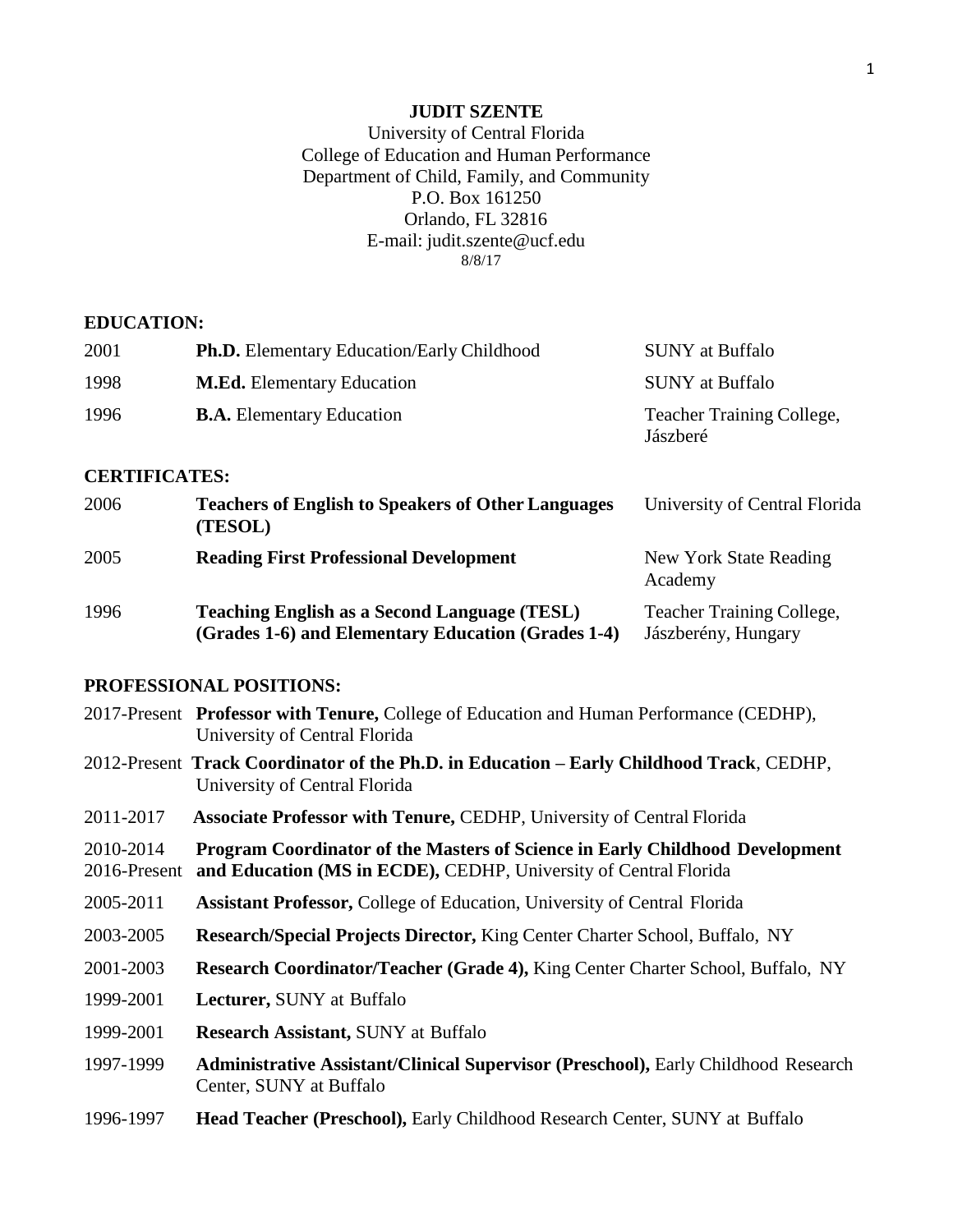## **JUDIT SZENTE**

## University of Central Florida College of Education and Human Performance Department of Child, Family, and Community P.O. Box 161250 Orlando, FL 32816 E-mail: [judit.szente@ucf.edu](mailto:judit.szente@ucf.edu) 8/8/17

#### **EDUCATION:**

| 2001 | <b>Ph.D.</b> Elementary Education/Early Childhood | <b>SUNY</b> at Buffalo                       |
|------|---------------------------------------------------|----------------------------------------------|
| 1998 | <b>M.Ed.</b> Elementary Education                 | <b>SUNY</b> at Buffalo                       |
| 1996 | <b>B.A.</b> Elementary Education                  | <b>Teacher Training College,</b><br>Jászberé |

## **CERTIFICATES:**

| 2006 | <b>Teachers of English to Speakers of Other Languages</b><br>(TESOL)                                      | University of Central Florida                           |
|------|-----------------------------------------------------------------------------------------------------------|---------------------------------------------------------|
| 2005 | <b>Reading First Professional Development</b>                                                             | New York State Reading<br>Academy                       |
| 1996 | <b>Teaching English as a Second Language (TESL)</b><br>(Grades 1-6) and Elementary Education (Grades 1-4) | <b>Teacher Training College,</b><br>Jászberény, Hungary |

## **PROFESSIONAL POSITIONS:**

|                           | 2017-Present Professor with Tenure, College of Education and Human Performance (CEDHP),<br>University of Central Florida                         |
|---------------------------|--------------------------------------------------------------------------------------------------------------------------------------------------|
|                           | 2012-Present Track Coordinator of the Ph.D. in Education - Early Childhood Track, CEDHP,<br>University of Central Florida                        |
| 2011-2017                 | <b>Associate Professor with Tenure, CEDHP, University of Central Florida</b>                                                                     |
| 2010-2014<br>2016-Present | Program Coordinator of the Masters of Science in Early Childhood Development<br>and Education (MS in ECDE), CEDHP, University of Central Florida |
| 2005-2011                 | <b>Assistant Professor, College of Education, University of Central Florida</b>                                                                  |
| 2003-2005                 | <b>Research/Special Projects Director, King Center Charter School, Buffalo, NY</b>                                                               |
| 2001-2003                 | <b>Research Coordinator/Teacher (Grade 4), King Center Charter School, Buffalo, NY</b>                                                           |
| 1999-2001                 | <b>Lecturer, SUNY at Buffalo</b>                                                                                                                 |
| 1999-2001                 | <b>Research Assistant, SUNY at Buffalo</b>                                                                                                       |
| 1997-1999                 | <b>Administrative Assistant/Clinical Supervisor (Preschool), Early Childhood Research</b><br>Center, SUNY at Buffalo                             |
| 1996-1997                 | <b>Head Teacher (Preschool), Early Childhood Research Center, SUNY at Buffalo</b>                                                                |
|                           |                                                                                                                                                  |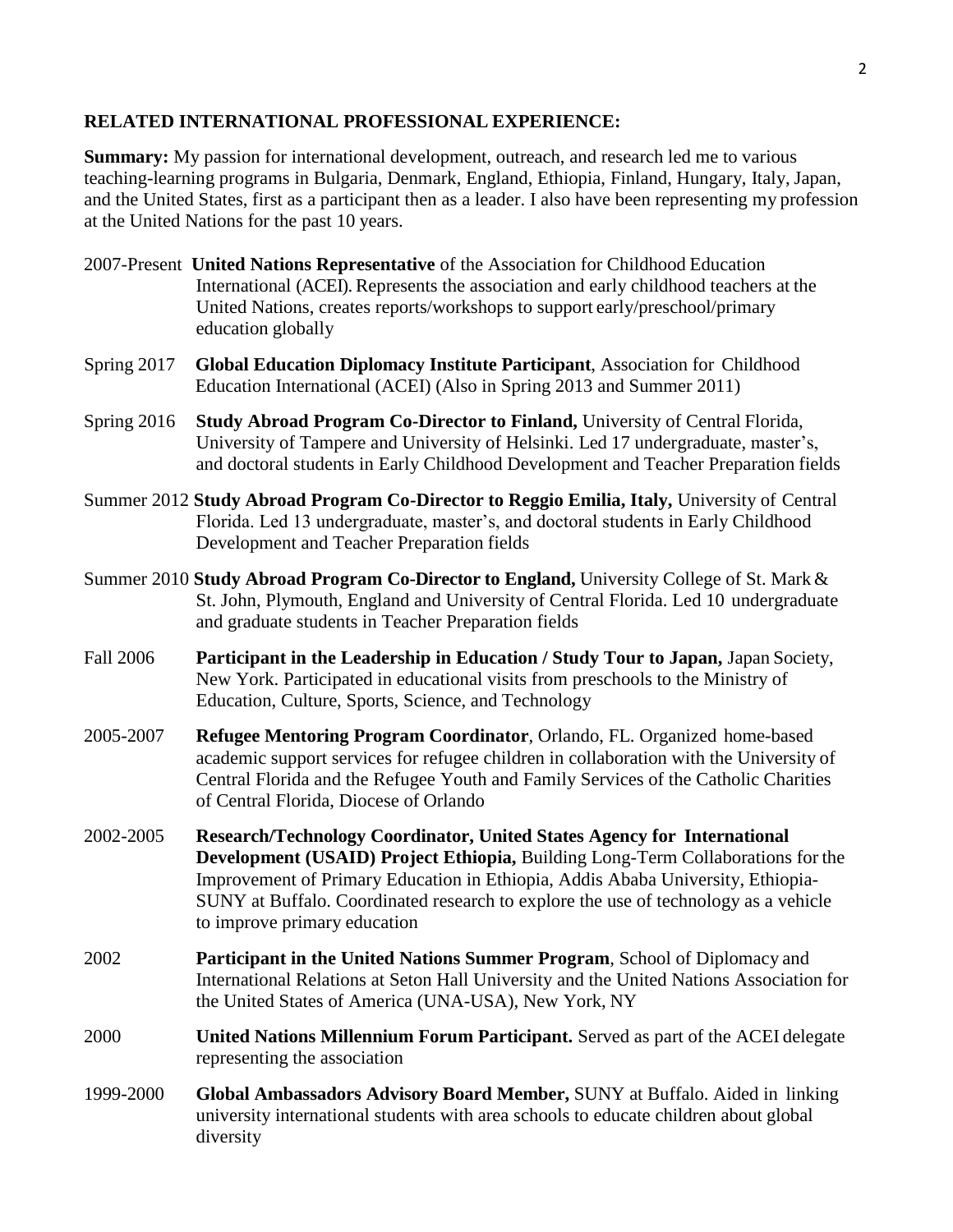## **RELATED INTERNATIONAL PROFESSIONAL EXPERIENCE:**

**Summary:** My passion for international development, outreach, and research led me to various teaching-learning programs in Bulgaria, Denmark, England, Ethiopia, Finland, Hungary, Italy, Japan, and the United States, first as a participant then as a leader. I also have been representing my profession at the United Nations for the past 10 years.

- 2007-Present **United Nations Representative** of the Association for Childhood Education International (ACEI). Represents the association and early childhood teachers at the United Nations, creates reports/workshops to support early/preschool/primary education globally
- Spring 2017 **Global Education Diplomacy Institute Participant**, Association for Childhood Education International (ACEI) (Also in Spring 2013 and Summer 2011)
- Spring 2016 **Study Abroad Program Co-Director to Finland,** University of Central Florida, University of Tampere and University of Helsinki. Led 17 undergraduate, master's, and doctoral students in Early Childhood Development and Teacher Preparation fields
- Summer 2012 **Study Abroad Program Co-Director to Reggio Emilia, Italy,** University of Central Florida. Led 13 undergraduate, master's, and doctoral students in Early Childhood Development and Teacher Preparation fields
- Summer 2010 **Study Abroad Program Co-Director to England,** University College of St. Mark& St. John, Plymouth, England and University of Central Florida. Led 10 undergraduate and graduate students in Teacher Preparation fields
- Fall 2006 **Participant in the Leadership in Education / Study Tour to Japan,** Japan Society, New York. Participated in educational visits from preschools to the Ministry of Education, Culture, Sports, Science, and Technology
- 2005-2007 **Refugee Mentoring Program Coordinator**, Orlando, FL. Organized home-based academic support services for refugee children in collaboration with the University of Central Florida and the Refugee Youth and Family Services of the Catholic Charities of Central Florida, Diocese of Orlando
- 2002-2005 **Research/Technology Coordinator, United States Agency for International Development (USAID) Project Ethiopia,** Building Long-Term Collaborations for the Improvement of Primary Education in Ethiopia, Addis Ababa University, Ethiopia-SUNY at Buffalo. Coordinated research to explore the use of technology as a vehicle to improve primary education
- 2002 **Participant in the United Nations Summer Program**, School of Diplomacy and International Relations at Seton Hall University and the United Nations Association for the United States of America (UNA-USA), New York, NY
- 2000 **United Nations Millennium Forum Participant.** Served as part of the ACEI delegate representing the association
- 1999-2000 **Global Ambassadors Advisory Board Member,** SUNY at Buffalo. Aided in linking university international students with area schools to educate children about global diversity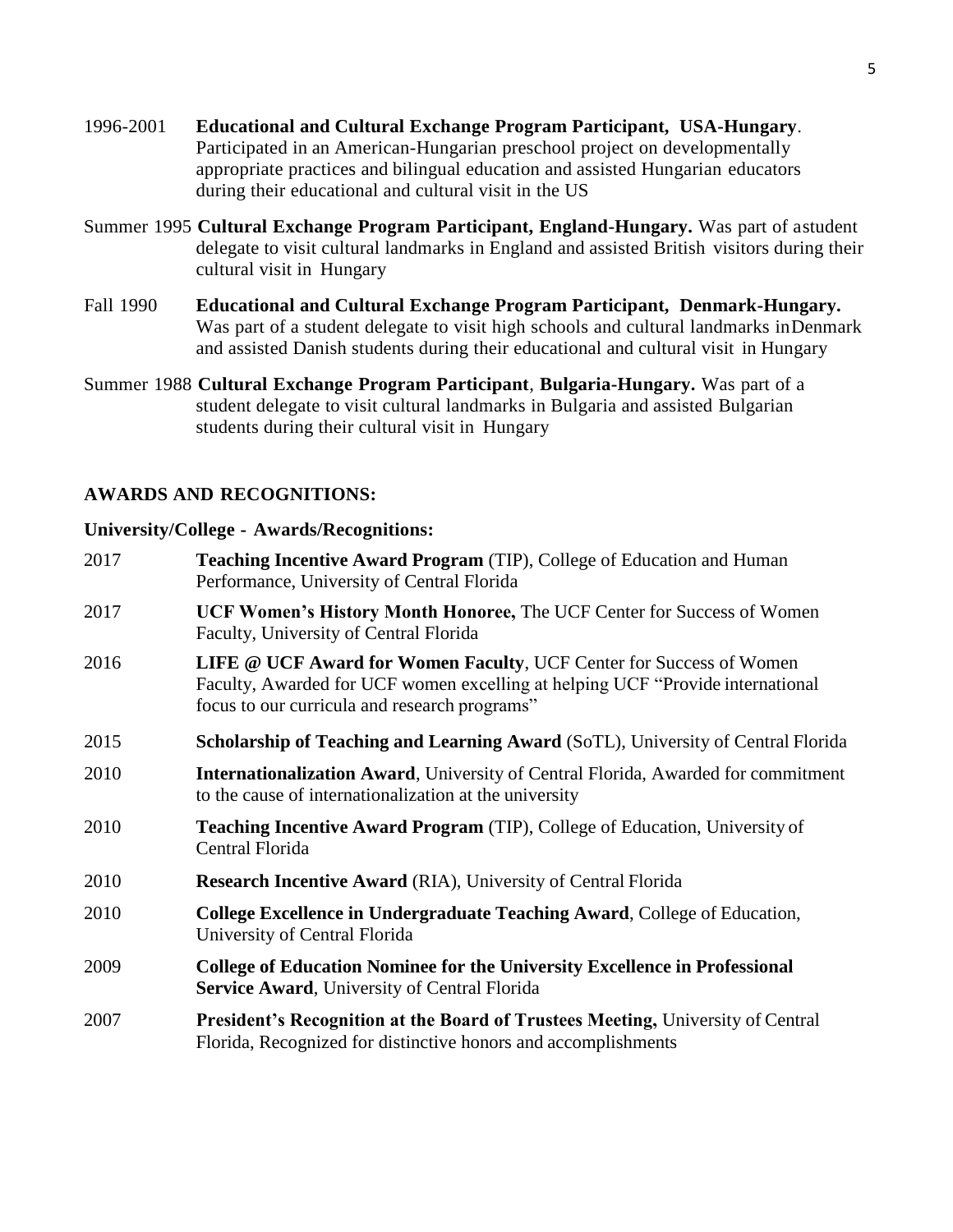- 1996-2001 **Educational and Cultural Exchange Program Participant, USA-Hungary**. Participated in an American-Hungarian preschool project on developmentally appropriate practices and bilingual education and assisted Hungarian educators during their educational and cultural visit in the US
- Summer 1995 **Cultural Exchange Program Participant, England-Hungary.** Was part of astudent delegate to visit cultural landmarks in England and assisted British visitors during their cultural visit in Hungary
- Fall 1990 **Educational and Cultural Exchange Program Participant, Denmark-Hungary.** Was part of a student delegate to visit high schools and cultural landmarks inDenmark and assisted Danish students during their educational and cultural visit in Hungary
- Summer 1988 **Cultural Exchange Program Participant**, **Bulgaria-Hungary.** Was part of a student delegate to visit cultural landmarks in Bulgaria and assisted Bulgarian students during their cultural visit in Hungary

## **AWARDS AND RECOGNITIONS:**

### **University/College - Awards/Recognitions:**

2017 **Teaching Incentive Award Program** (TIP), College of Education and Human Performance, University of Central Florida 2017 **UCF Women's History Month Honoree,** The UCF Center for Success of Women Faculty, University of Central Florida 2016 **LIFE @ UCF Award for Women Faculty**, UCF Center for Success of Women Faculty, Awarded for UCF women excelling at helping UCF "Provide international focus to our curricula and research programs" 2015 **Scholarship of Teaching and Learning Award** (SoTL), University of Central Florida 2010 **Internationalization Award**, University of Central Florida, Awarded for commitment to the cause of internationalization at the university 2010 **Teaching Incentive Award Program** (TIP), College of Education, University of Central Florida 2010 **Research Incentive Award** (RIA), University of Central Florida 2010 **College Excellence in Undergraduate Teaching Award**, College of Education, University of Central Florida 2009 **College of Education Nominee for the University Excellence in Professional Service Award**, University of Central Florida 2007 **President's Recognition at the Board of Trustees Meeting,** University of Central Florida, Recognized for distinctive honors and accomplishments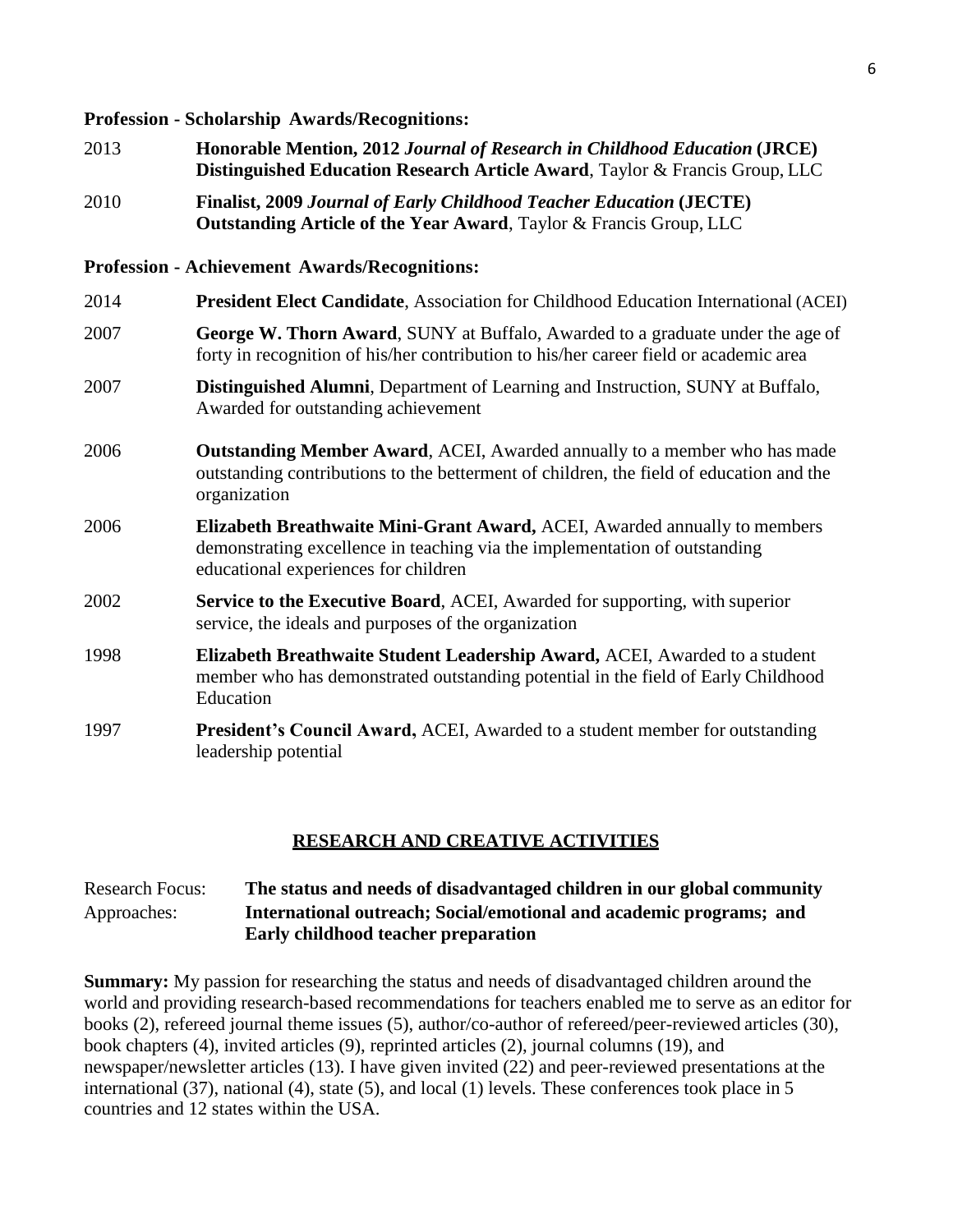#### **Profession - Scholarship Awards/Recognitions:**

- 2013 **Honorable Mention, 2012** *Journal of Research in Childhood Education* **(JRCE) Distinguished Education Research Article Award**, Taylor & Francis Group, LLC
- 2010 **Finalist, 2009** *Journal of Early Childhood Teacher Education* **(JECTE) Outstanding Article of the Year Award**, Taylor & Francis Group, LLC

#### **Profession - Achievement Awards/Recognitions:**

| 2014 | <b>President Elect Candidate, Association for Childhood Education International (ACEI)</b>                                                                                                      |
|------|-------------------------------------------------------------------------------------------------------------------------------------------------------------------------------------------------|
| 2007 | George W. Thorn Award, SUNY at Buffalo, Awarded to a graduate under the age of<br>forty in recognition of his/her contribution to his/her career field or academic area                         |
| 2007 | <b>Distinguished Alumni</b> , Department of Learning and Instruction, SUNY at Buffalo,<br>Awarded for outstanding achievement                                                                   |
| 2006 | <b>Outstanding Member Award, ACEI, Awarded annually to a member who has made</b><br>outstanding contributions to the betterment of children, the field of education and the<br>organization     |
| 2006 | Elizabeth Breathwaite Mini-Grant Award, ACEI, Awarded annually to members<br>demonstrating excellence in teaching via the implementation of outstanding<br>educational experiences for children |
| 2002 | Service to the Executive Board, ACEI, Awarded for supporting, with superior<br>service, the ideals and purposes of the organization                                                             |
| 1998 | Elizabeth Breathwaite Student Leadership Award, ACEI, Awarded to a student<br>member who has demonstrated outstanding potential in the field of Early Childhood<br>Education                    |
| 1997 | <b>President's Council Award, ACEI, Awarded to a student member for outstanding</b><br>leadership potential                                                                                     |

#### **RESEARCH AND CREATIVE ACTIVITIES**

## Research Focus: **The status and needs of disadvantaged children in our global community** Approaches: **International outreach; Social/emotional and academic programs; and Early childhood teacher preparation**

**Summary:** My passion for researching the status and needs of disadvantaged children around the world and providing research-based recommendations for teachers enabled me to serve as an editor for books (2), refereed journal theme issues (5), author/co-author of refereed/peer-reviewed articles (30), book chapters (4), invited articles (9), reprinted articles (2), journal columns (19), and newspaper/newsletter articles (13). I have given invited (22) and peer-reviewed presentations at the international (37), national (4), state (5), and local (1) levels. These conferences took place in 5 countries and 12 states within the USA.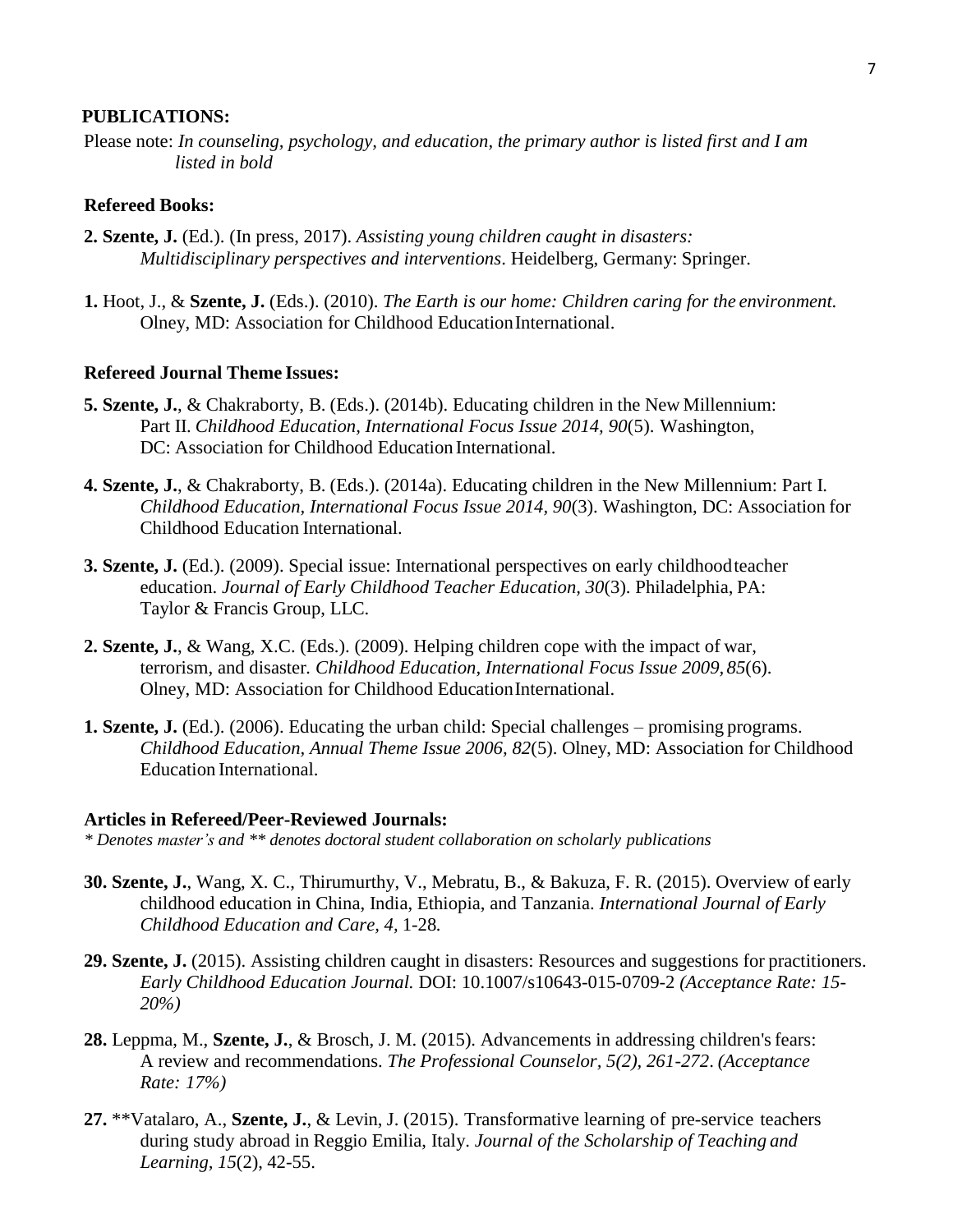#### **PUBLICATIONS:**

Please note: *In counseling, psychology, and education, the primary author is listed first and I am listed in bold*

## **Refereed Books:**

- **2. Szente, J.** (Ed.). (In press, 2017). *Assisting young children caught in disasters: Multidisciplinary perspectives and interventions*. Heidelberg, Germany: Springer.
- **1.** Hoot, J., & **Szente, J.** (Eds.). (2010). *The Earth is our home: Children caring for the environment.* Olney, MD: Association for Childhood Education International.

#### **Refereed Journal Theme Issues:**

- **5. Szente, J.**, & Chakraborty, B. (Eds.). (2014b). Educating children in the New Millennium: Part II. *Childhood Education, International Focus Issue 2014, 90*(5). Washington, DC: Association for Childhood Education International.
- **4. Szente, J.**, & Chakraborty, B. (Eds.). (2014a). Educating children in the New Millennium: Part I. *Childhood Education, International Focus Issue 2014, 90*(3). Washington, DC: Association for Childhood Education International.
- **3. Szente, J.** (Ed.). (2009). Special issue: International perspectives on early childhoodteacher education. *Journal of Early Childhood Teacher Education, 30*(3). Philadelphia, PA: Taylor & Francis Group, LLC.
- **2. Szente, J.**, & Wang, X.C. (Eds.). (2009). Helping children cope with the impact of war, terrorism, and disaster*. Childhood Education, International Focus Issue 2009, 85*(6). Olney, MD: Association for Childhood EducationInternational.
- **1. Szente, J.** (Ed.). (2006). Educating the urban child: Special challenges promising programs. *Childhood Education, Annual Theme Issue 2006, 82*(5). Olney, MD: Association for Childhood Education International.

#### **Articles in Refereed/Peer-Reviewed Journals:**

- *\* Denotes master's and \*\* denotes doctoral student collaboration on scholarly publications*
- **30. Szente, J.**, Wang, X. C., Thirumurthy, V., Mebratu, B., & Bakuza, F. R. (2015). Overview of early childhood education in China, India, Ethiopia, and Tanzania. *International Journal of Early Childhood Education and Care, 4,* 1-28*.*
- **29. Szente, J.** (2015). Assisting children caught in disasters: Resources and suggestions for practitioners. *Early Childhood Education Journal.* DOI: 10.1007/s10643-015-0709-2 *(Acceptance Rate: 15- 20%)*
- 28. Leppma, M., Szente, J., & Brosch, J. M. (2015). Advancements in addressing children's fears: A review and recommendations. *The Professional Counselor, 5(2), 261-272*. *(Acceptance Rate: 17%)*
- **27.** \*\*Vatalaro, A., **Szente, J.**, & Levin, J. (2015). Transformative learning of pre-service teachers during study abroad in Reggio Emilia, Italy. *Journal of the Scholarship of Teaching and Learning, 15*(2), 42-55.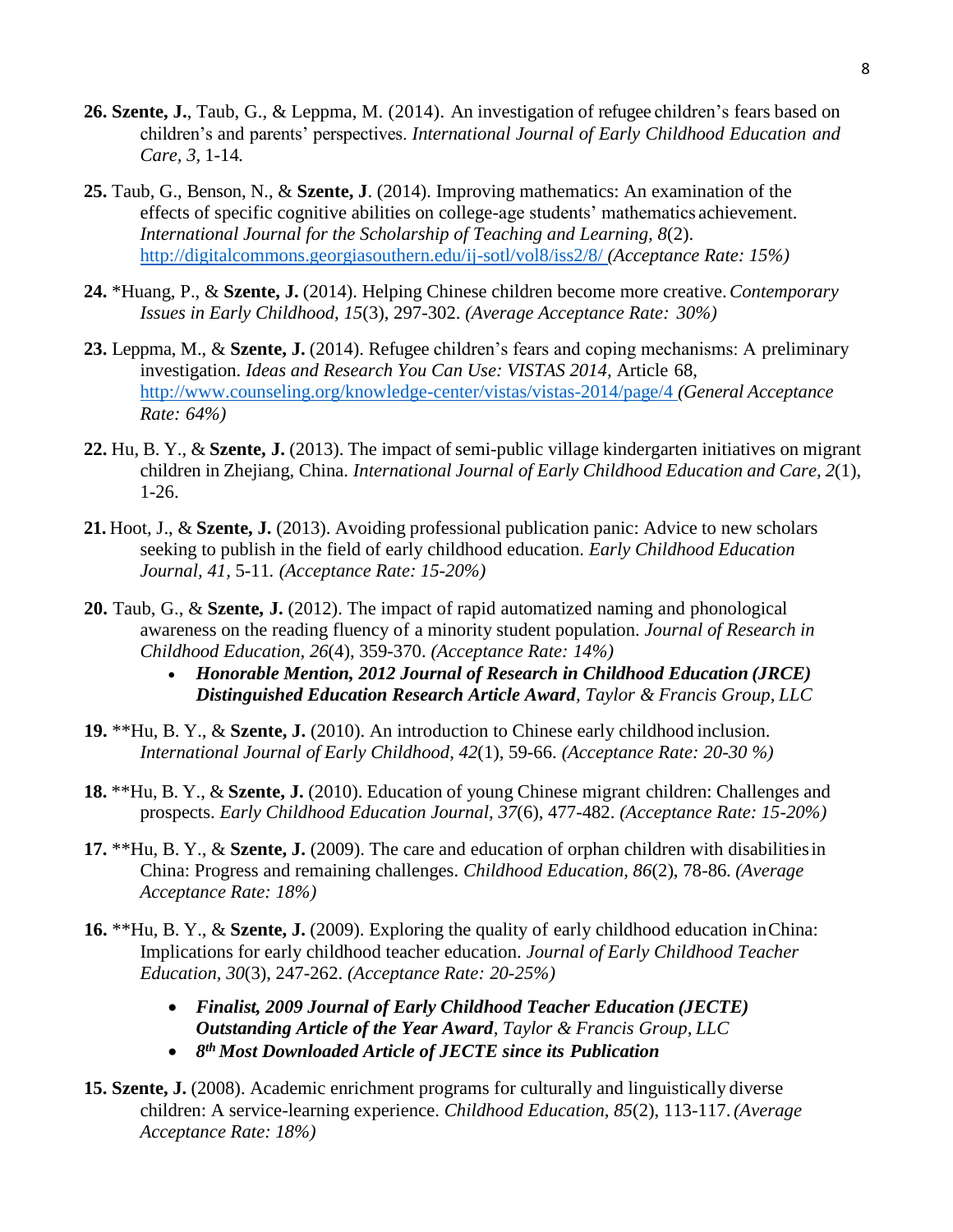- **26. Szente, J.**, Taub, G., & Leppma, M. (2014). An investigation of refugee children's fears based on children's and parents' perspectives. *International Journal of Early Childhood Education and Care, 3,* 1-14*.*
- **25.** Taub, G., Benson, N., & **Szente, J**. (2014). Improving mathematics: An examination of the effects of specific cognitive abilities on college-age students' mathematics achievement. *International Journal for the Scholarship of Teaching and Learning, 8*(2). <http://digitalcommons.georgiasouthern.edu/ij-sotl/vol8/iss2/8/> *(Acceptance Rate: 15%)*
- **24.** \*Huang, P., & **Szente, J.** (2014). Helping Chinese children become more creative.*Contemporary Issues in Early Childhood, 15*(3), 297-302. *(Average Acceptance Rate: 30%)*
- **23.** Leppma, M., & **Szente, J.** (2014). Refugee children's fears and coping mechanisms: A preliminary investigation. *Ideas and Research You Can Use: VISTAS 2014,* Article 68, <http://www.counseling.org/knowledge-center/vistas/vistas-2014/page/4> *(General Acceptance Rate: 64%)*
- **22.** Hu, B. Y., & **Szente, J.** (2013). The impact of semi-public village kindergarten initiatives on migrant children in Zhejiang, China. *International Journal of Early Childhood Education and Care, 2*(1), 1-26.
- **21.** Hoot, J., & **Szente, J.** (2013). Avoiding professional publication panic: Advice to new scholars seeking to publish in the field of early childhood education. *Early Childhood Education Journal, 41,* 5-11*. (Acceptance Rate: 15-20%)*
- **20.** Taub, G., & **Szente, J.** (2012). The impact of rapid automatized naming and phonological awareness on the reading fluency of a minority student population. *Journal of Research in Childhood Education, 26*(4), 359-370. *(Acceptance Rate: 14%)*
	- *Honorable Mention, 2012 Journal of Research in Childhood Education (JRCE) Distinguished Education Research Article Award, Taylor & Francis Group, LLC*
- **19.** \*\*Hu, B. Y., & **Szente, J.** (2010). An introduction to Chinese early childhood inclusion. *International Journal of Early Childhood, 42*(1), 59-66. *(Acceptance Rate: 20-30 %)*
- **18.** \*\*Hu, B. Y., & **Szente, J.** (2010). Education of young Chinese migrant children: Challenges and prospects. *Early Childhood Education Journal, 37*(6), 477-482. *(Acceptance Rate: 15-20%)*
- **17.** \*\*Hu, B. Y., & **Szente, J.** (2009). The care and education of orphan children with disabilitiesin China: Progress and remaining challenges. *Childhood Education, 86*(2), 78-86*. (Average Acceptance Rate: 18%)*
- **16.** \*\*Hu, B. Y., & **Szente, J.** (2009). Exploring the quality of early childhood education inChina: Implications for early childhood teacher education. *Journal of Early Childhood Teacher Education, 30*(3), 247-262. *(Acceptance Rate: 20-25%)*
	- *Finalist, 2009 Journal of Early Childhood Teacher Education (JECTE) Outstanding Article of the Year Award, Taylor & Francis Group, LLC*
	- *8 th Most Downloaded Article of JECTE since its Publication*
- **15. Szente, J.** (2008). Academic enrichment programs for culturally and linguistically diverse children: A service-learning experience. *Childhood Education, 85*(2), 113-117.*(Average Acceptance Rate: 18%)*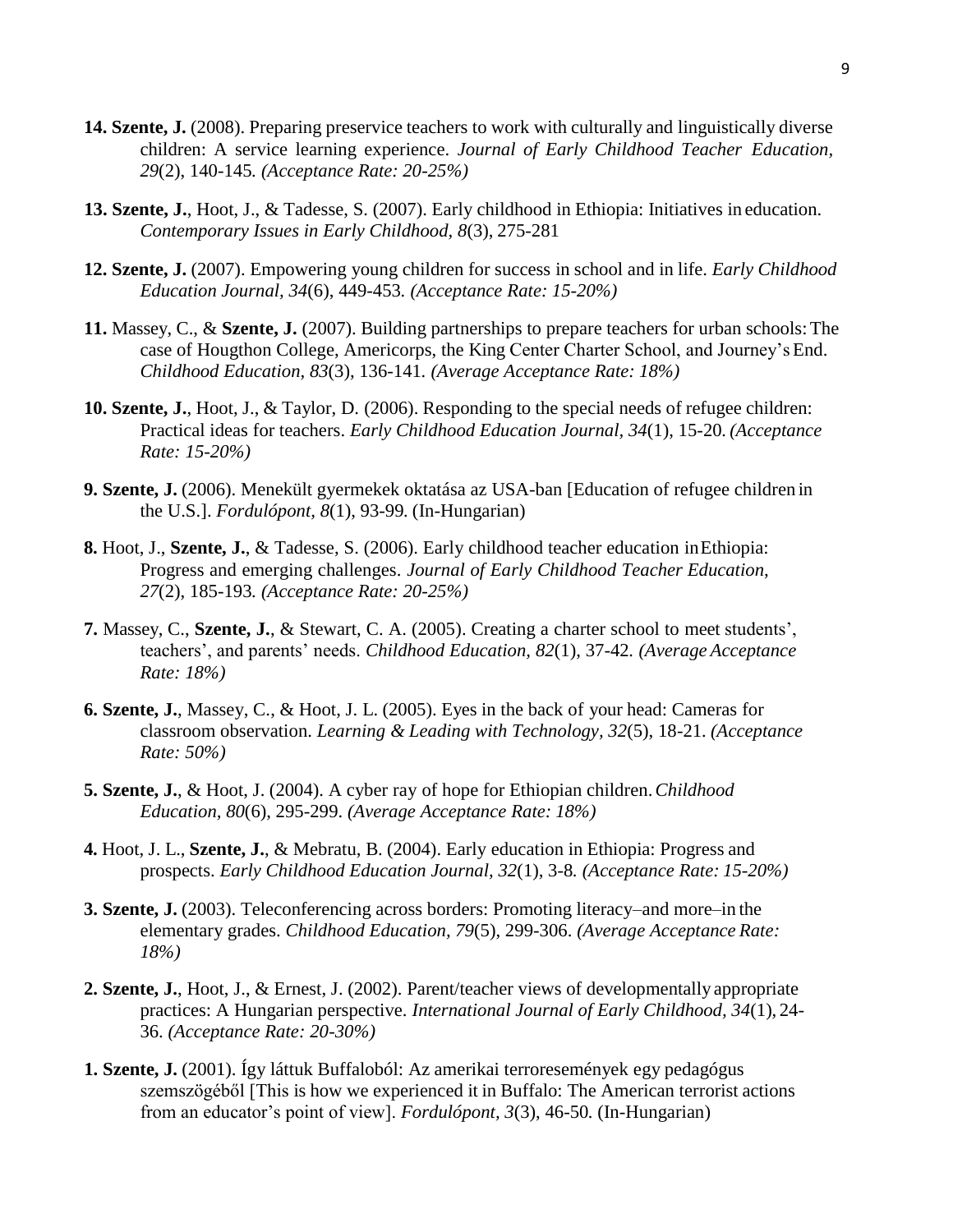- **14. Szente, J.** (2008). Preparing preservice teachers to work with culturally and linguistically diverse children: A service learning experience. *Journal of Early Childhood Teacher Education, 29*(2), 140-145*. (Acceptance Rate: 20-25%)*
- **13. Szente, J.**, Hoot, J., & Tadesse, S. (2007). Early childhood in Ethiopia: Initiatives in education. *Contemporary Issues in Early Childhood, 8*(3), 275-281
- **12. Szente, J.** (2007). Empowering young children for success in school and in life. *Early Childhood Education Journal, 34*(6), 449-453*. (Acceptance Rate: 15-20%)*
- **11.** Massey, C., & **Szente, J.** (2007). Building partnerships to prepare teachers for urban schools:The case of Hougthon College, Americorps, the King Center Charter School, and Journey's End. *Childhood Education, 83*(3), 136-141*. (Average Acceptance Rate: 18%)*
- **10. Szente, J.**, Hoot, J., & Taylor, D. (2006). Responding to the special needs of refugee children: Practical ideas for teachers. *Early Childhood Education Journal, 34*(1), 15-20*. (Acceptance Rate: 15-20%)*
- **9. Szente, J.** (2006). Menekült gyermekek oktatása az USA-ban [Education of refugee children in the U.S.]. *Fordulópont, 8*(1), 93-99*.* (In-Hungarian)
- **8.** Hoot, J., **Szente, J.**, & Tadesse, S. (2006). Early childhood teacher education inEthiopia: Progress and emerging challenges. *Journal of Early Childhood Teacher Education, 27*(2), 185-193*. (Acceptance Rate: 20-25%)*
- **7.** Massey, C., **Szente, J.**, & Stewart, C. A. (2005). Creating a charter school to meet students', teachers', and parents' needs. *Childhood Education, 82*(1), 37-42*. (Average Acceptance Rate: 18%)*
- **6. Szente, J.**, Massey, C., & Hoot, J. L. (2005). Eyes in the back of your head: Cameras for classroom observation. *Learning & Leading with Technology, 32*(5), 18-21*. (Acceptance Rate: 50%)*
- **5. Szente, J.**, & Hoot, J. (2004). A cyber ray of hope for Ethiopian children.*Childhood Education, 80*(6), 295-299. *(Average Acceptance Rate: 18%)*
- **4.** Hoot, J. L., **Szente, J.**, & Mebratu, B. (2004). Early education in Ethiopia: Progress and prospects. *Early Childhood Education Journal, 32*(1), 3-8*. (Acceptance Rate: 15-20%)*
- **3. Szente, J.** (2003). Teleconferencing across borders: Promoting literacy–and more–in the elementary grades. *Childhood Education, 79*(5), 299-306. *(Average Acceptance Rate: 18%)*
- **2. Szente, J.**, Hoot, J., & Ernest, J. (2002). Parent/teacher views of developmentally appropriate practices: A Hungarian perspective. *International Journal of Early Childhood, 34*(1), 24- 36. *(Acceptance Rate: 20-30%)*
- **1. Szente, J.** (2001). Így láttuk Buffaloból: Az amerikai terroresemények egy pedagógus szemszögéből [This is how we experienced it in Buffalo: The American terrorist actions from an educator's point of view]. *Fordulópont, 3*(3), 46-50*.* (In-Hungarian)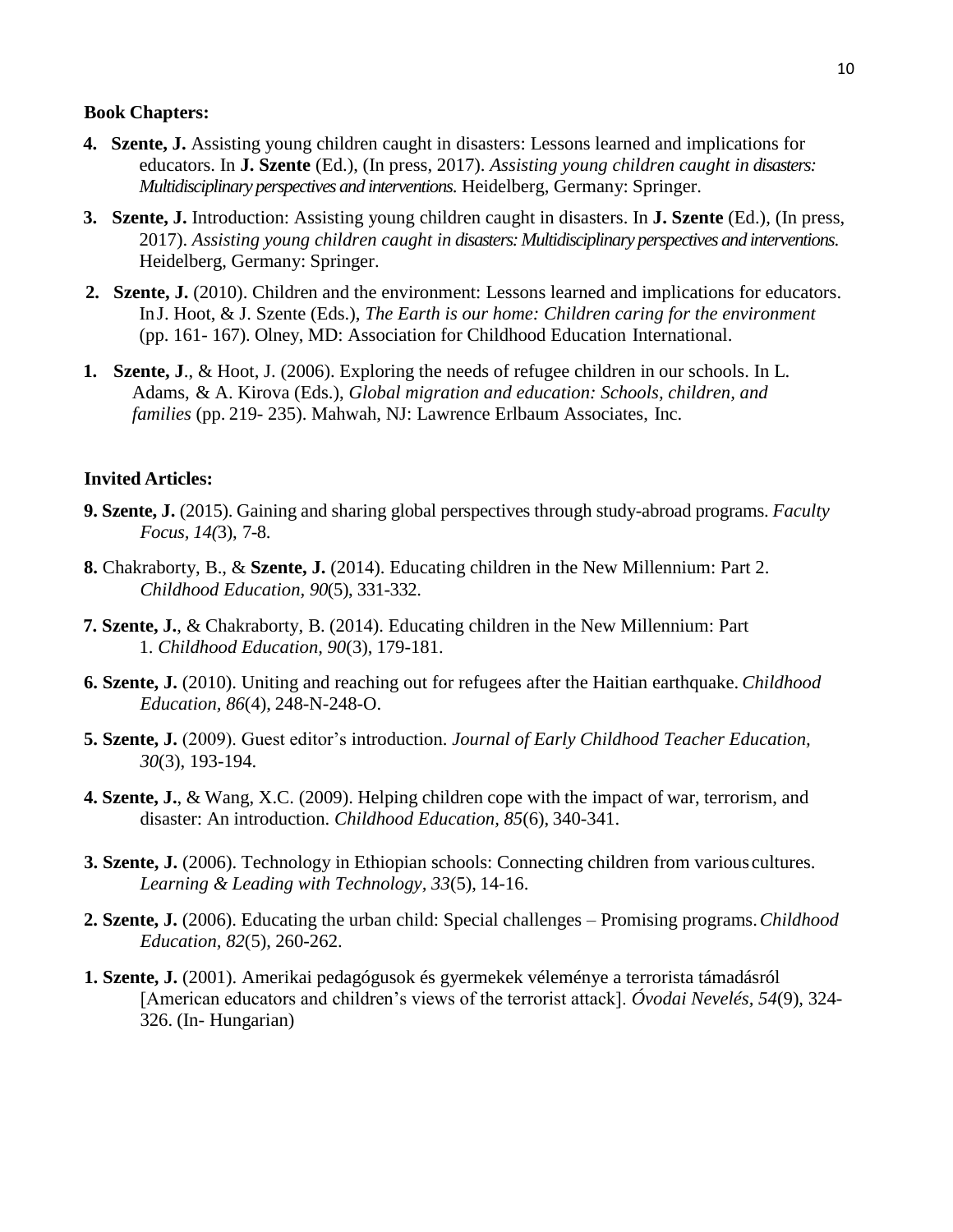#### **Book Chapters:**

- **4. Szente, J.** Assisting young children caught in disasters: Lessons learned and implications for educators. In **J. Szente** (Ed.), (In press, 2017). *Assisting young children caught in disasters: Multidisciplinary perspectives and interventions*. Heidelberg, Germany: Springer.
- **3. Szente, J.** Introduction: Assisting young children caught in disasters. In **J. Szente** (Ed.), (In press, 2017). *Assisting young children caught in disasters: Multidisciplinary perspectives and interventions*. Heidelberg, Germany: Springer.
- **2. Szente, J.** (2010). Children and the environment: Lessons learned and implications for educators. InJ. Hoot, & J. Szente (Eds.), *The Earth is our home: Children caring for the environment* (pp. 161- 167). Olney, MD: Association for Childhood Education International.
- **1. Szente, J**., & Hoot, J. (2006). Exploring the needs of refugee children in our schools. In L. Adams, & A. Kirova (Eds.), *Global migration and education: Schools, children, and families* (pp. 219- 235). Mahwah, NJ: Lawrence Erlbaum Associates, Inc.

## **Invited Articles:**

- **9. Szente, J.** (2015). Gaining and sharing global perspectives through study-abroad programs. *Faculty Focus, 14(*3), 7-8.
- **8.** Chakraborty, B., & **Szente, J.** (2014). Educating children in the New Millennium: Part 2. *Childhood Education, 90*(5), 331-332.
- **7. Szente, J.**, & Chakraborty, B. (2014). Educating children in the New Millennium: Part 1. *Childhood Education, 90*(3), 179-181.
- **6. Szente, J.** (2010). Uniting and reaching out for refugees after the Haitian earthquake. *Childhood Education, 86*(4), 248-N-248-O.
- **5. Szente, J.** (2009). Guest editor's introduction. *Journal of Early Childhood Teacher Education, 30*(3), 193-194.
- **4. Szente, J.**, & Wang, X.C. (2009). Helping children cope with the impact of war, terrorism, and disaster: An introduction. *Childhood Education, 85*(6), 340-341.
- **3. Szente, J.** (2006). Technology in Ethiopian schools: Connecting children from various cultures. *Learning & Leading with Technology, 33*(5), 14-16.
- **2. Szente, J.** (2006). Educating the urban child: Special challenges Promising programs.*Childhood Education, 82*(5), 260-262.
- **1. Szente, J.** (2001). Amerikai pedagógusok és gyermekek véleménye a terrorista támadásról [American educators and children's views of the terrorist attack]. *Óvodai Nevelés, 54*(9), 324- 326. (In- Hungarian)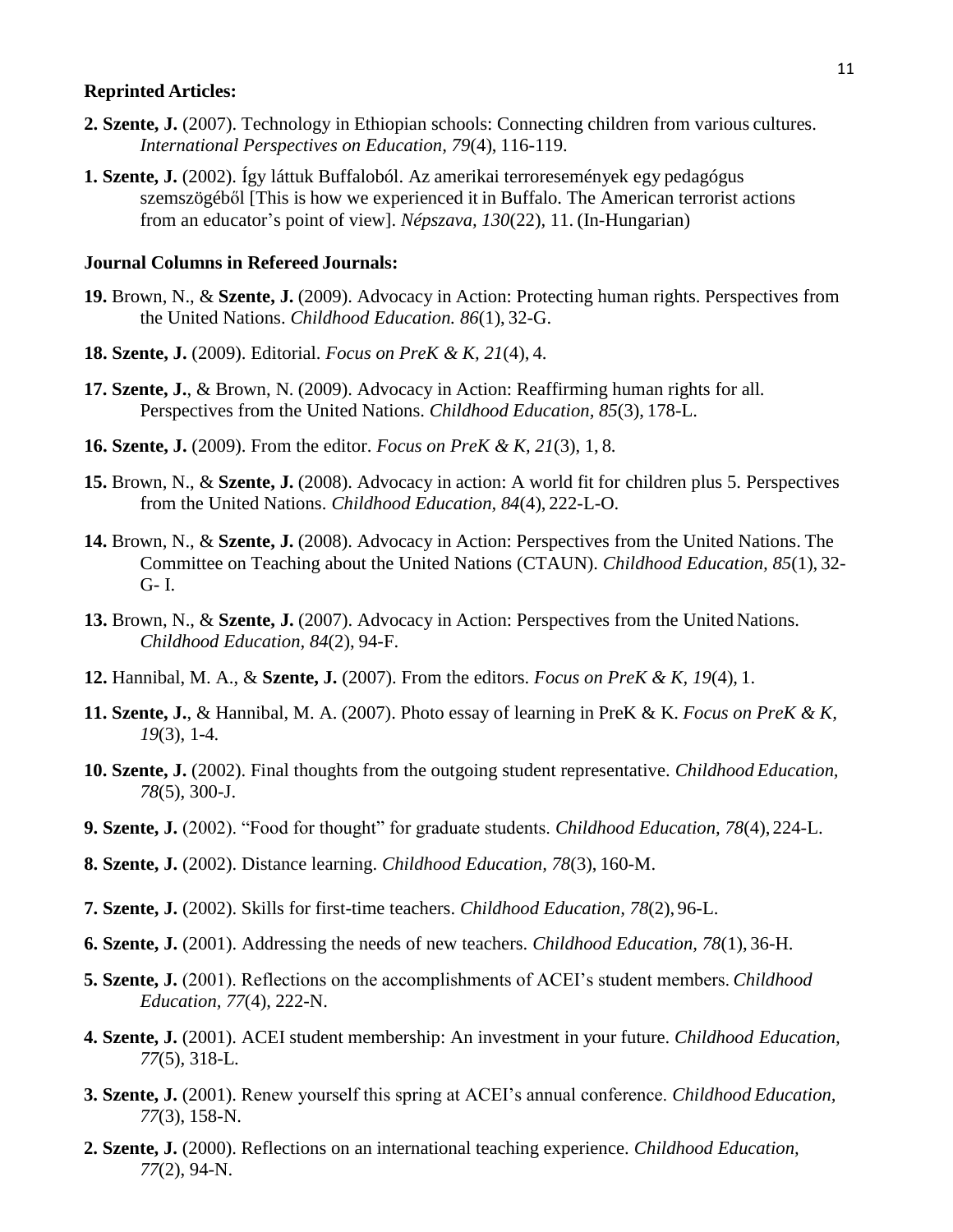#### **Reprinted Articles:**

- **2. Szente, J.** (2007). Technology in Ethiopian schools: Connecting children from various cultures. *International Perspectives on Education, 79*(4), 116-119.
- **1. Szente, J.** (2002). Így láttuk Buffaloból. Az amerikai terroresemények egy pedagógus szemszögéből [This is how we experienced it in Buffalo. The American terrorist actions from an educator's point of view]. *Népszava, 130*(22)*,* 11. (In-Hungarian)

#### **Journal Columns in Refereed Journals:**

- **19.** Brown, N., & **Szente, J.** (2009). Advocacy in Action: Protecting human rights. Perspectives from the United Nations. *Childhood Education. 86*(1), 32-G.
- **18. Szente, J.** (2009). Editorial. *Focus on PreK & K, 21*(4), 4.
- **17. Szente, J.**, & Brown, N. (2009). Advocacy in Action: Reaffirming human rights for all. Perspectives from the United Nations. *Childhood Education, 85*(3), 178-L.
- **16. Szente, J.** (2009). From the editor. *Focus on PreK & K, 21*(3), 1, 8.
- **15.** Brown, N., & **Szente, J.** (2008). Advocacy in action: A world fit for children plus 5. Perspectives from the United Nations. *Childhood Education, 84*(4), 222-L-O.
- **14.** Brown, N., & **Szente, J.** (2008). Advocacy in Action: Perspectives from the United Nations. The Committee on Teaching about the United Nations (CTAUN). *Childhood Education, 85*(1), 32- G- I.
- **13.** Brown, N., & **Szente, J.** (2007). Advocacy in Action: Perspectives from the United Nations. *Childhood Education, 84*(2), 94-F.
- **12.** Hannibal, M. A., & **Szente, J.** (2007). From the editors. *Focus on PreK & K, 19*(4), 1.
- **11. Szente, J.**, & Hannibal, M. A. (2007). Photo essay of learning in PreK & K. *Focus on PreK & K, 19*(3), 1-4.
- **10. Szente, J.** (2002). Final thoughts from the outgoing student representative. *Childhood Education, 78*(5), 300-J.
- **9. Szente, J.** (2002). "Food for thought" for graduate students. *Childhood Education, 78*(4), 224-L.
- **8. Szente, J.** (2002). Distance learning. *Childhood Education, 78*(3), 160-M.
- **7. Szente, J.** (2002). Skills for first-time teachers. *Childhood Education, 78*(2), 96-L.
- **6. Szente, J.** (2001). Addressing the needs of new teachers. *Childhood Education, 78*(1), 36-H.
- **5. Szente, J.** (2001). Reflections on the accomplishments of ACEI's student members. *Childhood Education, 77*(4), 222-N.
- **4. Szente, J.** (2001). ACEI student membership: An investment in your future. *Childhood Education, 77*(5)*,* 318-L.
- **3. Szente, J.** (2001). Renew yourself this spring at ACEI's annual conference. *Childhood Education, 77*(3), 158-N.
- **2. Szente, J.** (2000). Reflections on an international teaching experience. *Childhood Education, 77*(2), 94-N.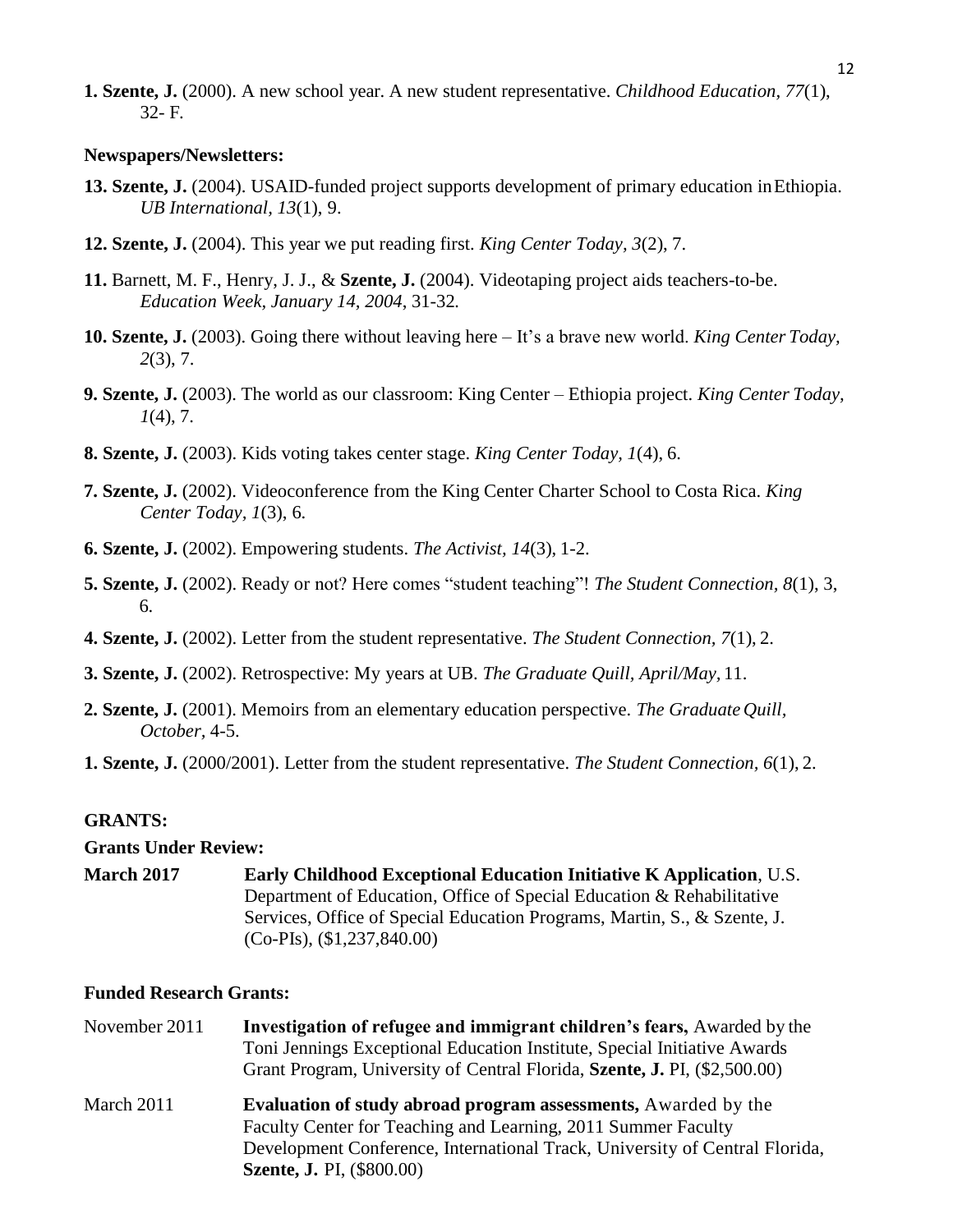**1. Szente, J.** (2000). A new school year. A new student representative. *Childhood Education, 77*(1), 32- F.

#### **Newspapers/Newsletters:**

- **13. Szente, J.** (2004). USAID-funded project supports development of primary education inEthiopia. *UB International, 13*(1), 9.
- **12. Szente, J.** (2004). This year we put reading first. *King Center Today, 3*(2), 7.
- **11.** Barnett, M. F., Henry, J. J., & **Szente, J.** (2004). Videotaping project aids teachers-to-be. *Education Week, January 14, 2004*, 31-32*.*
- **10. Szente, J.** (2003). Going there without leaving here It's a brave new world. *King Center Today, 2*(3), 7.
- **9. Szente, J.** (2003). The world as our classroom: King Center Ethiopia project. *King Center Today, 1*(4), 7.
- **8. Szente, J.** (2003). Kids voting takes center stage. *King Center Today, 1*(4), 6.
- **7. Szente, J.** (2002). Videoconference from the King Center Charter School to Costa Rica. *King Center Today, 1*(3), 6.
- **6. Szente, J.** (2002). Empowering students. *The Activist, 14*(3), 1-2.
- **5. Szente, J.** (2002). Ready or not? Here comes "student teaching"! *The Student Connection, 8*(1), 3, 6.
- **4. Szente, J.** (2002). Letter from the student representative. *The Student Connection, 7*(1), 2.
- **3. Szente, J.** (2002). Retrospective: My years at UB. *The Graduate Quill, April/May,* 11.
- **2. Szente, J.** (2001). Memoirs from an elementary education perspective. *The Graduate Quill, October,* 4-5.
- **1. Szente, J.** (2000/2001). Letter from the student representative. *The Student Connection, 6*(1), 2.

#### **GRANTS:**

**Grants Under Review:**

**March 2017 Early Childhood Exceptional Education Initiative K Application**, U.S. Department of Education, Office of Special Education & Rehabilitative Services, Office of Special Education Programs, Martin, S., & Szente, J. (Co-PIs), (\$1,237,840.00)

### **Funded Research Grants:**

| November 2011 | Investigation of refugee and immigrant children's fears, Awarded by the     |
|---------------|-----------------------------------------------------------------------------|
|               | Toni Jennings Exceptional Education Institute, Special Initiative Awards    |
|               | Grant Program, University of Central Florida, Szente, J. PI, (\$2,500.00)   |
| March 2011    | <b>Evaluation of study abroad program assessments, Awarded by the</b>       |
|               | Faculty Center for Teaching and Learning, 2011 Summer Faculty               |
|               | Development Conference, International Track, University of Central Florida, |
|               | <b>Szente, J. PI, (\$800.00)</b>                                            |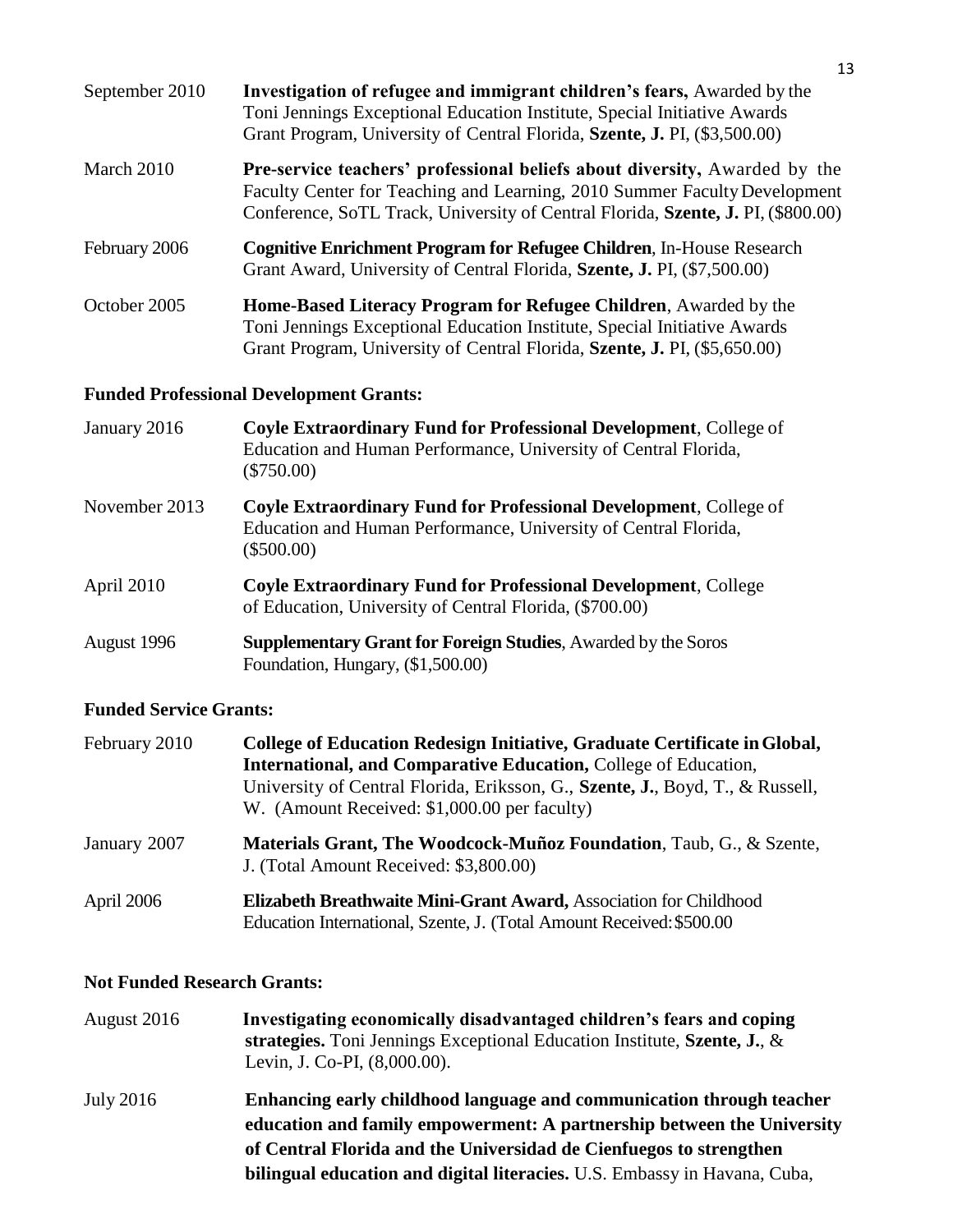| September 2010 | Investigation of refugee and immigrant children's fears, Awarded by the<br>Toni Jennings Exceptional Education Institute, Special Initiative Awards<br>Grant Program, University of Central Florida, Szente, J. PI, (\$3,500.00)                   |
|----------------|----------------------------------------------------------------------------------------------------------------------------------------------------------------------------------------------------------------------------------------------------|
| March 2010     | <b>Pre-service teachers' professional beliefs about diversity, Awarded by the</b><br>Faculty Center for Teaching and Learning, 2010 Summer Faculty Development<br>Conference, SoTL Track, University of Central Florida, Szente, J. PI, (\$800.00) |
| February 2006  | Cognitive Enrichment Program for Refugee Children, In-House Research<br>Grant Award, University of Central Florida, Szente, J. PI, (\$7,500.00)                                                                                                    |
| October 2005   | Home-Based Literacy Program for Refugee Children, Awarded by the<br>Toni Jennings Exceptional Education Institute, Special Initiative Awards<br>Grant Program, University of Central Florida, Szente, J. PI, (\$5,650.00)                          |

## **Funded Professional Development Grants:**

- January 2016 **Coyle Extraordinary Fund for Professional Development**, College of Education and Human Performance, University of Central Florida, (\$750.00)
- November 2013 **Coyle Extraordinary Fund for Professional Development**, College of Education and Human Performance, University of Central Florida, (\$500.00)
- April 2010 **Coyle Extraordinary Fund for Professional Development**, College of Education, University of Central Florida, (\$700.00)
- August 1996 **Supplementary Grant for Foreign Studies**, Awarded by the Soros Foundation, Hungary, (\$1,500.00)

## **Funded Service Grants:**

| February 2010 | College of Education Redesign Initiative, Graduate Certificate in Global,     |
|---------------|-------------------------------------------------------------------------------|
|               | <b>International, and Comparative Education, College of Education,</b>        |
|               | University of Central Florida, Eriksson, G., Szente, J., Boyd, T., & Russell, |
|               | W. (Amount Received: \$1,000.00 per faculty)                                  |
| January 2007  | <b>Materials Grant, The Woodcock-Muñoz Foundation</b> , Taub, G., & Szente,   |
|               | J. (Total Amount Received: \$3,800.00)                                        |
| April 2006    | Elizabeth Breathwaite Mini-Grant Award, Association for Childhood             |
|               | Education International, Szente, J. (Total Amount Received: \$500.00)         |

## **Not Funded Research Grants:**

| August 2016 | Investigating economically disadvantaged children's fears and coping<br>strategies. Toni Jennings Exceptional Education Institute, Szente, J., &<br>Levin, J. Co-PI, (8,000.00).                                                                                                                  |
|-------------|---------------------------------------------------------------------------------------------------------------------------------------------------------------------------------------------------------------------------------------------------------------------------------------------------|
| July 2016   | Enhancing early childhood language and communication through teacher<br>education and family empowerment: A partnership between the University<br>of Central Florida and the Universidad de Cienfuegos to strengthen<br>bilingual education and digital literacies. U.S. Embassy in Havana, Cuba, |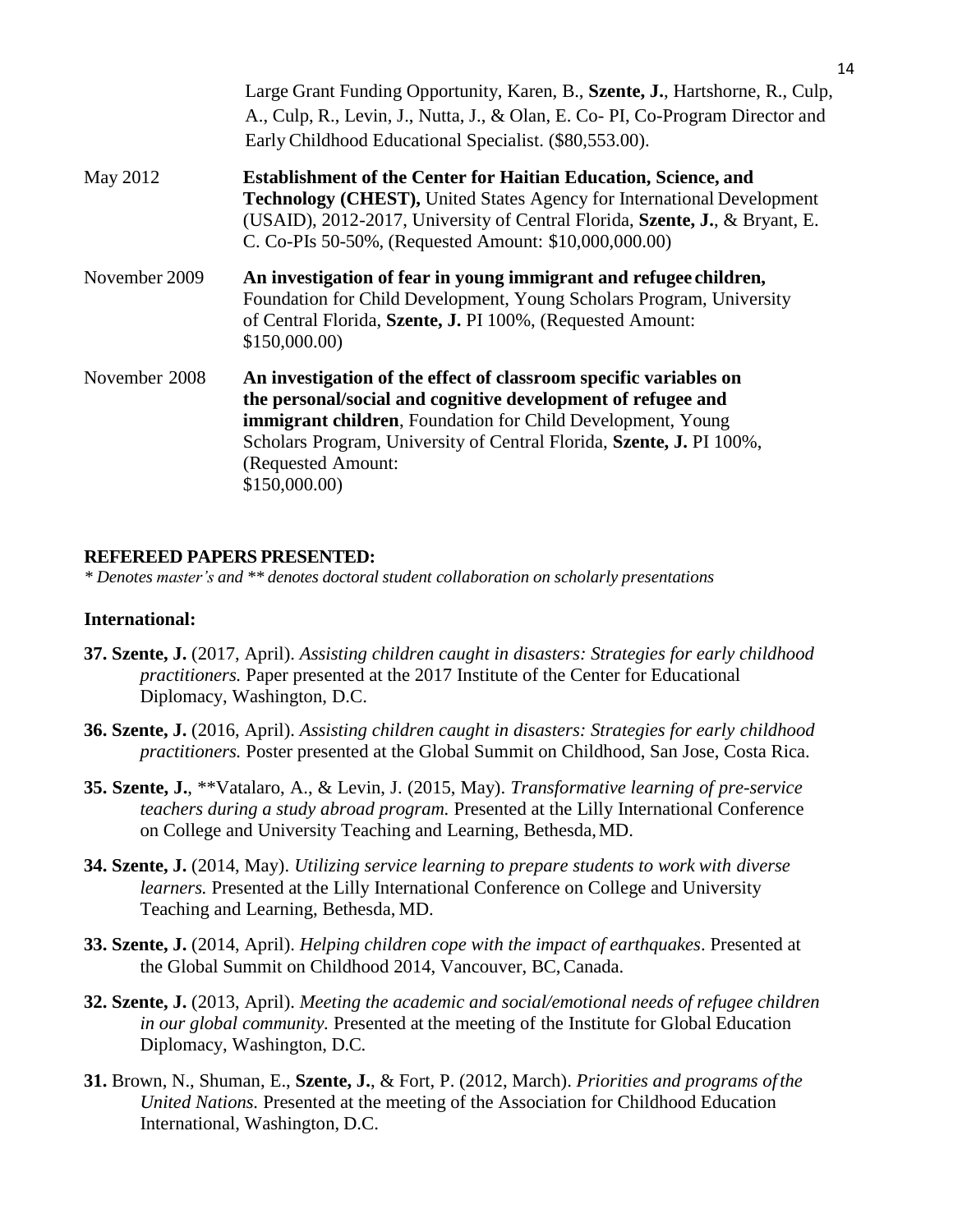|               | Large Grant Funding Opportunity, Karen, B., Szente, J., Hartshorne, R., Culp,<br>A., Culp, R., Levin, J., Nutta, J., & Olan, E. Co-PI, Co-Program Director and<br>Early Childhood Educational Specialist. (\$80,553.00).                                                                                               |
|---------------|------------------------------------------------------------------------------------------------------------------------------------------------------------------------------------------------------------------------------------------------------------------------------------------------------------------------|
| May 2012      | <b>Establishment of the Center for Haitian Education, Science, and</b><br>Technology (CHEST), United States Agency for International Development<br>(USAID), 2012-2017, University of Central Florida, Szente, J., & Bryant, E.<br>C. Co-PIs 50-50%, (Requested Amount: \$10,000,000.00)                               |
| November 2009 | An investigation of fear in young immigrant and refugee children,<br>Foundation for Child Development, Young Scholars Program, University<br>of Central Florida, Szente, J. PI 100%, (Requested Amount:<br>\$150,000.00                                                                                                |
| November 2008 | An investigation of the effect of classroom specific variables on<br>the personal/social and cognitive development of refugee and<br><b>immigrant children</b> , Foundation for Child Development, Young<br>Scholars Program, University of Central Florida, Szente, J. PI 100%,<br>(Requested Amount:<br>\$150,000.00 |

### **REFEREED PAPERS PRESENTED:**

*\* Denotes master's and \*\* denotes doctoral student collaboration on scholarly presentations*

#### **International:**

- **37. Szente, J.** (2017, April). *Assisting children caught in disasters: Strategies for early childhood practitioners.* Paper presented at the 2017 Institute of the Center for Educational Diplomacy, Washington, D.C.
- **36. Szente, J.** (2016, April). *Assisting children caught in disasters: Strategies for early childhood practitioners.* Poster presented at the Global Summit on Childhood, San Jose, Costa Rica.
- **35. Szente, J.**, \*\*Vatalaro, A., & Levin, J. (2015, May). *Transformative learning of pre-service teachers during a study abroad program.* Presented at the Lilly International Conference on College and University Teaching and Learning, Bethesda,MD.
- **34. Szente, J.** (2014, May). *Utilizing service learning to prepare students to work with diverse learners.* Presented at the Lilly International Conference on College and University Teaching and Learning, Bethesda, MD.
- **33. Szente, J.** (2014, April). *Helping children cope with the impact of earthquakes*. Presented at the Global Summit on Childhood 2014, Vancouver, BC,Canada.
- **32. Szente, J.** (2013, April). *Meeting the academic and social/emotional needs of refugee children in our global community.* Presented at the meeting of the Institute for Global Education Diplomacy, Washington, D.C.
- **31.** Brown, N., Shuman, E., **Szente, J.**, & Fort, P. (2012, March). *Priorities and programs ofthe United Nations.* Presented at the meeting of the Association for Childhood Education International, Washington, D.C.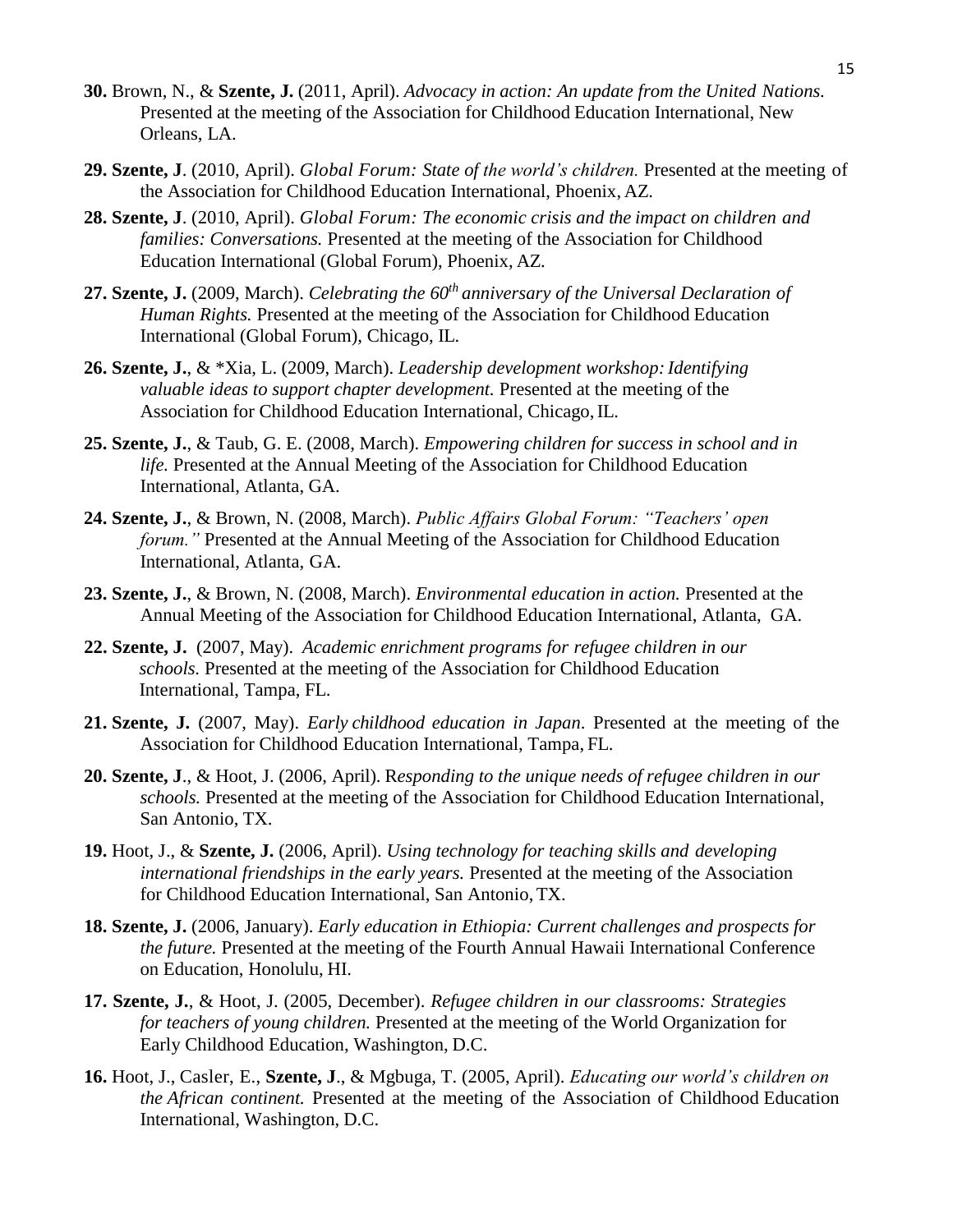- **30.** Brown, N., & **Szente, J.** (2011, April). *Advocacy in action: An update from the United Nations.*  Presented at the meeting of the Association for Childhood Education International, New Orleans, LA.
- **29. Szente, J**. (2010, April). *Global Forum: State of the world's children.* Presented at the meeting of the Association for Childhood Education International, Phoenix, AZ.
- **28. Szente, J**. (2010, April). *Global Forum: The economic crisis and the impact on children and families: Conversations.* Presented at the meeting of the Association for Childhood Education International (Global Forum), Phoenix, AZ.
- **27. Szente, J.** (2009, March). *Celebrating the 60th anniversary of the Universal Declaration of Human Rights.* Presented at the meeting of the Association for Childhood Education International (Global Forum), Chicago, IL.
- **26. Szente, J.**, & \*Xia, L. (2009, March). *Leadership development workshop:Identifying valuable ideas to support chapter development.* Presented at the meeting of the Association for Childhood Education International, Chicago, IL.
- **25. Szente, J.**, & Taub, G. E. (2008, March). *Empowering children for success in school and in life.* Presented at the Annual Meeting of the Association for Childhood Education International, Atlanta, GA.
- **24. Szente, J.**, & Brown, N. (2008, March). *Public Affairs Global Forum: "Teachers' open forum."* Presented at the Annual Meeting of the Association for Childhood Education International, Atlanta, GA.
- **23. Szente, J.**, & Brown, N. (2008, March). *Environmental education in action.* Presented at the Annual Meeting of the Association for Childhood Education International, Atlanta, GA.
- **22. Szente, J.** (2007, May). *Academic enrichment programs for refugee children in our schools.* Presented at the meeting of the Association for Childhood Education International, Tampa, FL.
- **21. Szente, J.** (2007, May). *Early childhood education in Japan*. Presented at the meeting of the Association for Childhood Education International, Tampa, FL.
- **20. Szente, J**., & Hoot, J. (2006, April). R*esponding to the unique needs of refugee children in our schools.* Presented at the meeting of the Association for Childhood Education International, San Antonio, TX.
- **19.** Hoot, J., & **Szente, J.** (2006, April). *Using technology for teaching skills and developing international friendships in the early years.* Presented at the meeting of the Association for Childhood Education International, San Antonio,TX.
- **18. Szente, J.** (2006, January). *Early education in Ethiopia: Current challenges and prospects for the future.* Presented at the meeting of the Fourth Annual Hawaii International Conference on Education, Honolulu, HI.
- **17. Szente, J.**, & Hoot, J. (2005, December). *Refugee children in our classrooms: Strategies for teachers of young children.* Presented at the meeting of the World Organization for Early Childhood Education, Washington, D.C.
- **16.** Hoot, J., Casler, E., **Szente, J**., & Mgbuga, T. (2005, April). *Educating our world's children on the African continent.* Presented at the meeting of the Association of Childhood Education International, Washington, D.C.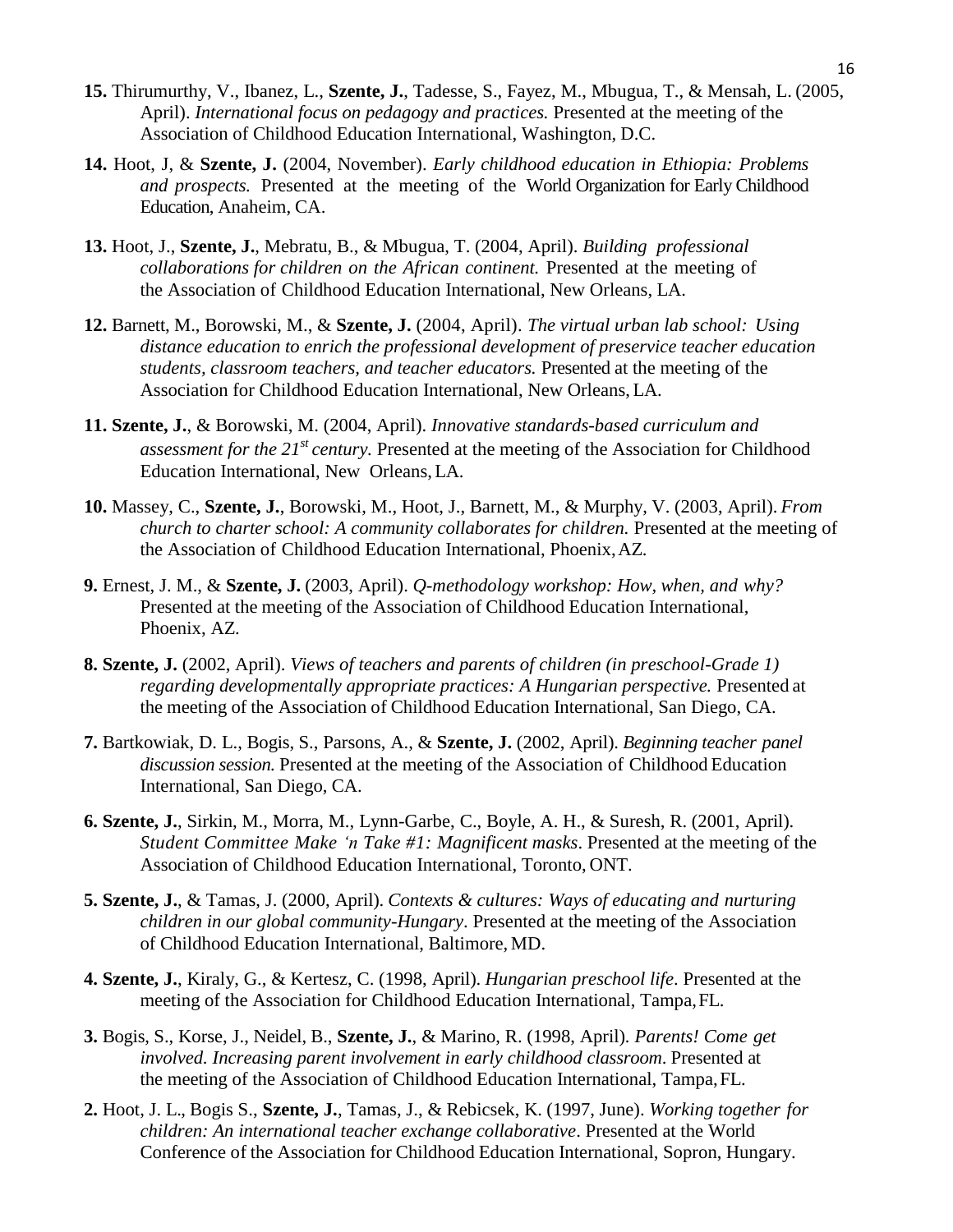- **15.** Thirumurthy, V., Ibanez, L., **Szente, J.**, Tadesse, S., Fayez, M., Mbugua, T., & Mensah, L. (2005, April). *International focus on pedagogy and practices.* Presented at the meeting of the Association of Childhood Education International, Washington, D.C.
- **14.** Hoot, J, & **Szente, J.** (2004, November). *Early childhood education in Ethiopia: Problems and prospects.* Presented at the meeting of the World Organization for Early Childhood Education, Anaheim, CA.
- **13.** Hoot, J., **Szente, J.**, Mebratu, B., & Mbugua, T. (2004, April). *Building professional collaborations for children on the African continent.* Presented at the meeting of the Association of Childhood Education International, New Orleans, LA.
- **12.** Barnett, M., Borowski, M., & **Szente, J.** (2004, April). *The virtual urban lab school: Using distance education to enrich the professional development of preservice teacher education students, classroom teachers, and teacher educators.* Presented at the meeting of the Association for Childhood Education International, New Orleans, LA.
- **11. Szente, J.**, & Borowski, M. (2004, April). *Innovative standards-based curriculum and assessment for the 21st century.* Presented at the meeting of the Association for Childhood Education International, New Orleans,LA.
- **10.** Massey, C., **Szente, J.**, Borowski, M., Hoot, J., Barnett, M., & Murphy, V. (2003, April). *From church to charter school: A community collaborates for children.* Presented at the meeting of the Association of Childhood Education International, Phoenix,AZ.
- **9.** Ernest, J. M., & **Szente, J.** (2003, April). *Q-methodology workshop: How, when, and why?*  Presented at the meeting of the Association of Childhood Education International, Phoenix, AZ.
- **8. Szente, J.** (2002, April). *Views of teachers and parents of children (in preschool-Grade 1) regarding developmentally appropriate practices: A Hungarian perspective.* Presented at the meeting of the Association of Childhood Education International, San Diego, CA.
- **7.** Bartkowiak, D. L., Bogis, S., Parsons, A., & **Szente, J.** (2002, April). *Beginning teacher panel discussion session.* Presented at the meeting of the Association of Childhood Education International, San Diego, CA.
- **6. Szente, J.**, Sirkin, M., Morra, M., Lynn-Garbe, C., Boyle, A. H., & Suresh, R. (2001, April). *Student Committee Make 'n Take #1: Magnificent masks*. Presented at the meeting of the Association of Childhood Education International, Toronto, ONT.
- **5. Szente, J.**, & Tamas, J. (2000, April). *Contexts & cultures: Ways of educating and nurturing children in our global community-Hungary*. Presented at the meeting of the Association of Childhood Education International, Baltimore, MD.
- **4. Szente, J.**, Kiraly, G., & Kertesz, C. (1998, April). *Hungarian preschool life*. Presented at the meeting of the Association for Childhood Education International, Tampa,FL.
- **3.** Bogis, S., Korse, J., Neidel, B., **Szente, J.**, & Marino, R. (1998, April)*. Parents! Come get involved. Increasing parent involvement in early childhood classroom*. Presented at the meeting of the Association of Childhood Education International, Tampa,FL.
- **2.** Hoot, J. L., Bogis S., **Szente, J.**, Tamas, J., & Rebicsek, K. (1997, June). *Working together for children: An international teacher exchange collaborative*. Presented at the World Conference of the Association for Childhood Education International, Sopron, Hungary.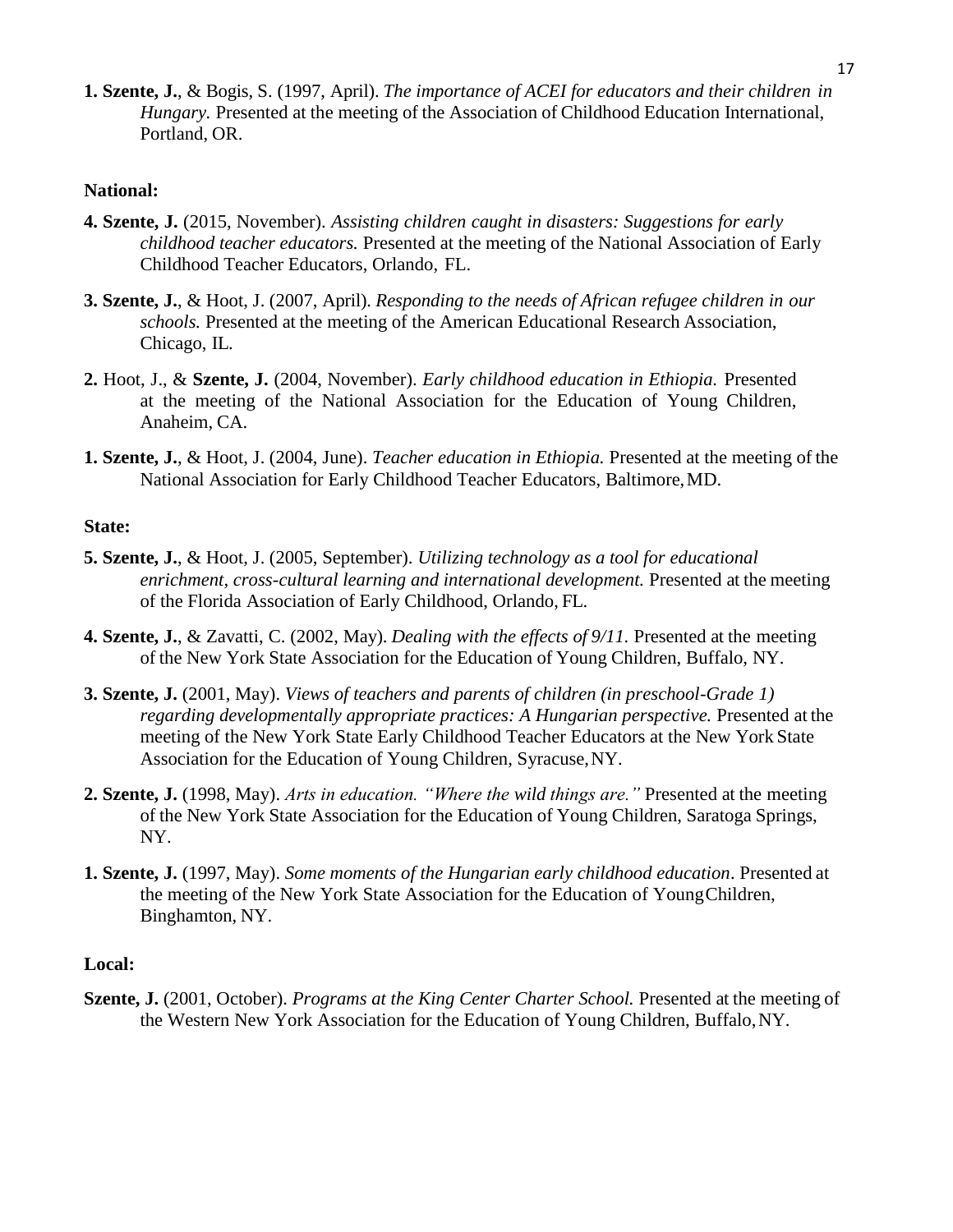**1. Szente, J.**, & Bogis, S. (1997, April). *The importance of ACEI for educators and their children in Hungary.* Presented at the meeting of the Association of Childhood Education International, Portland, OR.

#### **National:**

- **4. Szente, J.** (2015, November). *Assisting children caught in disasters: Suggestions for early childhood teacher educators.* Presented at the meeting of the National Association of Early Childhood Teacher Educators, Orlando, FL.
- **3. Szente, J.**, & Hoot, J. (2007, April). *Responding to the needs of African refugee children in our schools.* Presented at the meeting of the American Educational Research Association, Chicago, IL.
- **2.** Hoot, J., & **Szente, J.** (2004, November). *Early childhood education in Ethiopia.* Presented at the meeting of the National Association for the Education of Young Children, Anaheim, CA.
- **1. Szente, J.**, & Hoot, J. (2004, June). *Teacher education in Ethiopia.* Presented at the meeting of the National Association for Early Childhood Teacher Educators, Baltimore,MD.

#### **State:**

- **5. Szente, J.**, & Hoot, J. (2005, September). *Utilizing technology as a tool for educational enrichment, cross-cultural learning and international development.* Presented at the meeting of the Florida Association of Early Childhood, Orlando, FL.
- **4. Szente, J.**, & Zavatti, C. (2002, May). *Dealing with the effects of 9/11.* Presented at the meeting of the New York State Association for the Education of Young Children, Buffalo, NY.
- **3. Szente, J.** (2001, May). *Views of teachers and parents of children (in preschool-Grade 1) regarding developmentally appropriate practices: A Hungarian perspective.* Presented at the meeting of the New York State Early Childhood Teacher Educators at the New York State Association for the Education of Young Children, Syracuse,NY.
- **2. Szente, J.** (1998, May). *Arts in education. "Where the wild things are."* Presented at the meeting of the New York State Association for the Education of Young Children, Saratoga Springs, NY.
- **1. Szente, J.** (1997, May). *Some moments of the Hungarian early childhood education*. Presented at the meeting of the New York State Association for the Education of YoungChildren, Binghamton, NY.

#### **Local:**

**Szente, J.** (2001, October). *Programs at the King Center Charter School.* Presented at the meeting of the Western New York Association for the Education of Young Children, Buffalo,NY.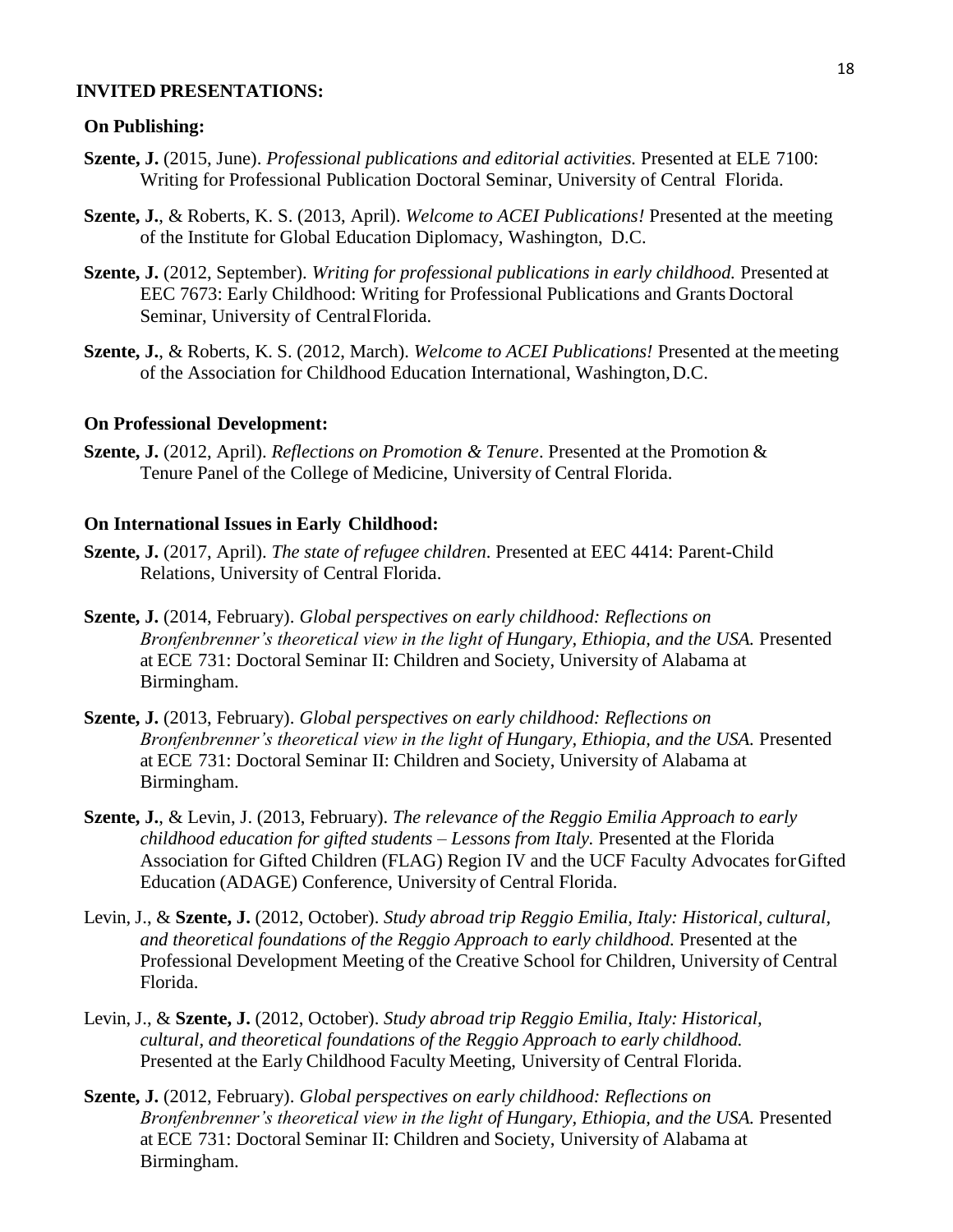#### **INVITED PRESENTATIONS:**

#### **On Publishing:**

- **Szente, J.** (2015, June). *Professional publications and editorial activities.* Presented at ELE 7100: Writing for Professional Publication Doctoral Seminar, University of Central Florida.
- **Szente, J.**, & Roberts, K. S. (2013, April). *Welcome to ACEI Publications!* Presented at the meeting of the Institute for Global Education Diplomacy, Washington, D.C.
- **Szente, J.** (2012, September). *Writing for professional publications in early childhood.* Presented at EEC 7673: Early Childhood: Writing for Professional Publications and Grants Doctoral Seminar, University of CentralFlorida.
- **Szente, J.**, & Roberts, K. S. (2012, March). *Welcome to ACEI Publications!* Presented at themeeting of the Association for Childhood Education International, Washington,D.C.

#### **On Professional Development:**

**Szente, J.** (2012, April). *Reflections on Promotion & Tenure*. Presented at the Promotion & Tenure Panel of the College of Medicine, University of Central Florida.

#### **On International Issues in Early Childhood:**

- **Szente, J.** (2017, April). *The state of refugee children*. Presented at EEC 4414: Parent-Child Relations, University of Central Florida.
- **Szente, J.** (2014, February). *Global perspectives on early childhood: Reflections on Bronfenbrenner's theoretical view in the light of Hungary, Ethiopia, and the USA. Presented* at ECE 731: Doctoral Seminar II: Children and Society, University of Alabama at Birmingham.
- **Szente, J.** (2013, February). *Global perspectives on early childhood: Reflections on Bronfenbrenner's theoretical view in the light of Hungary, Ethiopia, and the USA.* Presented at ECE 731: Doctoral Seminar II: Children and Society, University of Alabama at Birmingham.
- **Szente, J.**, & Levin, J. (2013, February). *The relevance of the Reggio Emilia Approach to early childhood education for gifted students – Lessons from Italy.* Presented at the Florida Association for Gifted Children (FLAG) Region IV and the UCF Faculty Advocates forGifted Education (ADAGE) Conference, University of Central Florida.
- Levin, J., & **Szente, J.** (2012, October). *Study abroad trip Reggio Emilia, Italy: Historical, cultural, and theoretical foundations of the Reggio Approach to early childhood.* Presented at the Professional Development Meeting of the Creative School for Children, University of Central Florida.
- Levin, J., & **Szente, J.** (2012, October). *Study abroad trip Reggio Emilia, Italy: Historical, cultural, and theoretical foundations of the Reggio Approach to early childhood.* Presented at the Early Childhood Faculty Meeting, University of Central Florida.
- **Szente, J.** (2012, February). *Global perspectives on early childhood: Reflections on Bronfenbrenner's theoretical view in the light of Hungary, Ethiopia, and the USA.* Presented at ECE 731: Doctoral Seminar II: Children and Society, University of Alabama at Birmingham.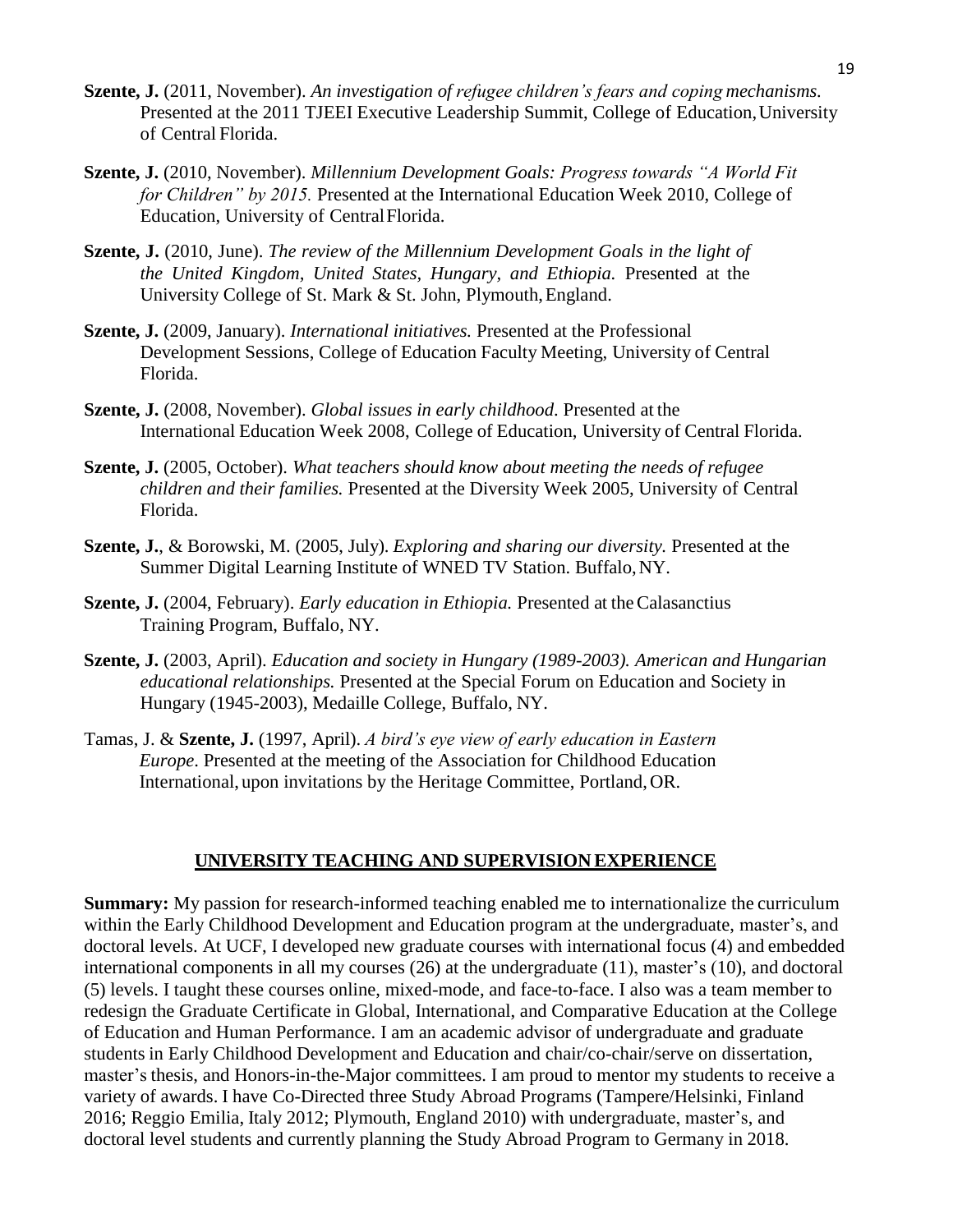- **Szente, J.** (2011, November). *An investigation of refugee children's fears and coping mechanisms.* Presented at the 2011 TJEEI Executive Leadership Summit, College of Education,University of Central Florida.
- **Szente, J.** (2010, November). *Millennium Development Goals: Progress towards "A World Fit for Children" by 2015.* Presented at the International Education Week 2010, College of Education, University of CentralFlorida.
- **Szente, J.** (2010, June). *The review of the Millennium Development Goals in the light of the United Kingdom, United States, Hungary, and Ethiopia.* Presented at the University College of St. Mark & St. John, Plymouth,England.
- **Szente, J.** (2009, January). *International initiatives.* Presented at the Professional Development Sessions, College of Education Faculty Meeting, University of Central Florida.
- **Szente, J.** (2008, November). *Global issues in early childhood*. Presented at the International Education Week 2008, College of Education, University of Central Florida.
- **Szente, J.** (2005, October). *What teachers should know about meeting the needs of refugee children and their families.* Presented at the Diversity Week 2005, University of Central Florida.
- **Szente, J.**, & Borowski, M. (2005, July). *Exploring and sharing our diversity.* Presented at the Summer Digital Learning Institute of WNED TV Station. Buffalo, NY.
- **Szente, J.** (2004, February). *Early education in Ethiopia*. Presented at the Calasanctius Training Program, Buffalo, NY.
- **Szente, J.** (2003, April). *Education and society in Hungary (1989-2003). American and Hungarian educational relationships.* Presented at the Special Forum on Education and Society in Hungary (1945-2003), Medaille College, Buffalo, NY.
- Tamas, J. & **Szente, J.** (1997, April). *A bird's eye view of early education in Eastern Europe*. Presented at the meeting of the Association for Childhood Education International, upon invitations by the Heritage Committee, Portland,OR.

#### **UNIVERSITY TEACHING AND SUPERVISION EXPERIENCE**

**Summary:** My passion for research-informed teaching enabled me to internationalize the curriculum within the Early Childhood Development and Education program at the undergraduate, master's, and doctoral levels. At UCF, I developed new graduate courses with international focus (4) and embedded international components in all my courses (26) at the undergraduate (11), master's (10), and doctoral (5) levels. I taught these courses online, mixed-mode, and face-to-face. I also was a team member to redesign the Graduate Certificate in Global, International, and Comparative Education at the College of Education and Human Performance. I am an academic advisor of undergraduate and graduate students in Early Childhood Development and Education and chair/co-chair/serve on dissertation, master's thesis, and Honors-in-the-Major committees. I am proud to mentor my students to receive a variety of awards. I have Co-Directed three Study Abroad Programs (Tampere/Helsinki, Finland 2016; Reggio Emilia, Italy 2012; Plymouth, England 2010) with undergraduate, master's, and doctoral level students and currently planning the Study Abroad Program to Germany in 2018.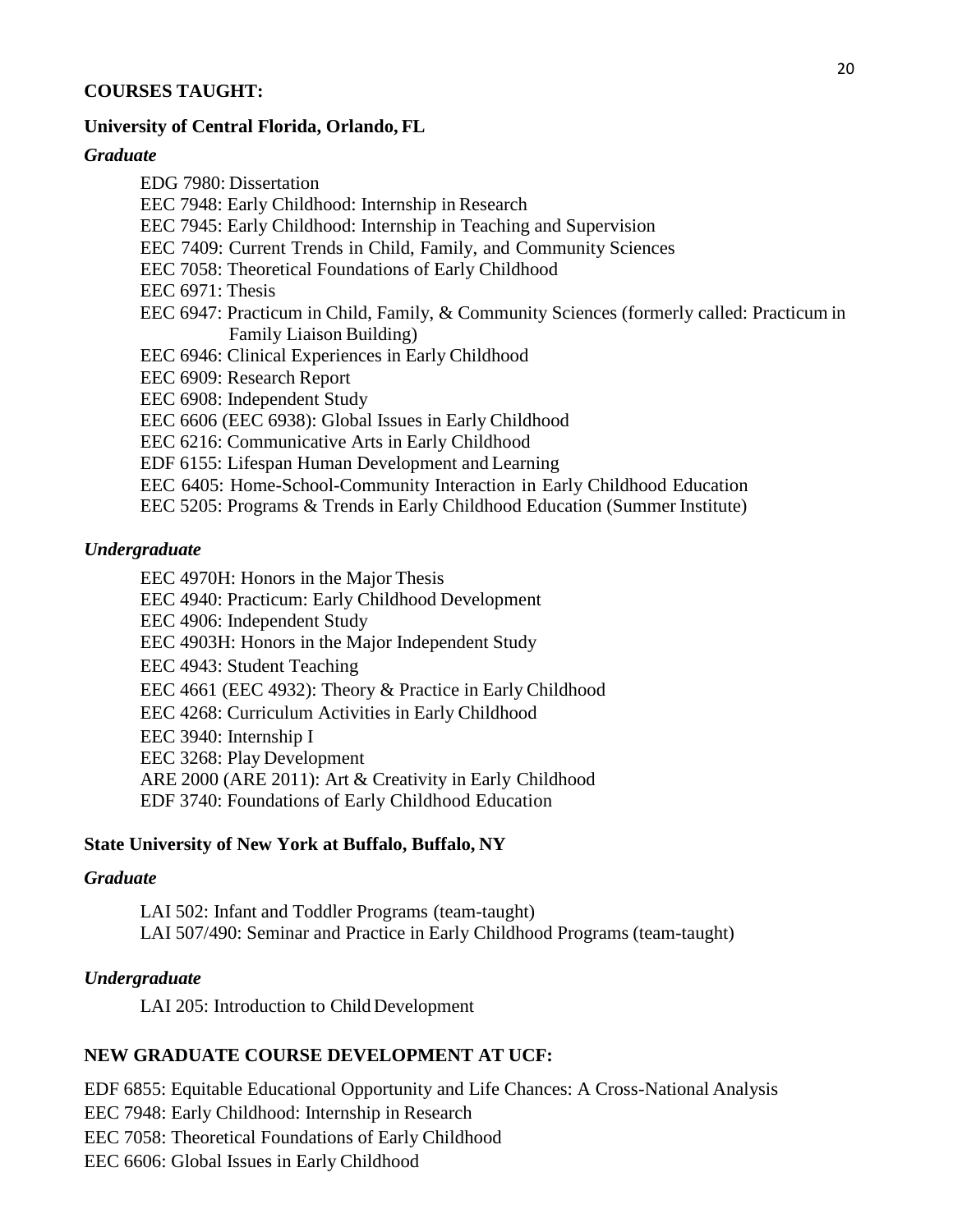### **COURSES TAUGHT:**

#### **University of Central Florida, Orlando, FL**

#### *Graduate*

EDG 7980: Dissertation EEC 7948: Early Childhood: Internship in Research EEC 7945: Early Childhood: Internship in Teaching and Supervision EEC 7409: Current Trends in Child, Family, and Community Sciences EEC 7058: Theoretical Foundations of Early Childhood EEC 6971: Thesis EEC 6947: Practicum in Child, Family, & Community Sciences (formerly called: Practicum in Family Liaison Building) EEC 6946: Clinical Experiences in Early Childhood EEC 6909: Research Report EEC 6908: Independent Study EEC 6606 (EEC 6938): Global Issues in Early Childhood EEC 6216: Communicative Arts in Early Childhood EDF 6155: Lifespan Human Development and Learning EEC 6405: Home-School-Community Interaction in Early Childhood Education EEC 5205: Programs & Trends in Early Childhood Education (Summer Institute)

### *Undergraduate*

EEC 4970H: Honors in the Major Thesis EEC 4940: Practicum: Early Childhood Development EEC 4906: Independent Study EEC 4903H: Honors in the Major Independent Study EEC 4943: Student Teaching EEC 4661 (EEC 4932): Theory & Practice in Early Childhood EEC 4268: Curriculum Activities in Early Childhood EEC 3940: Internship I EEC 3268: Play Development ARE 2000 (ARE 2011): Art & Creativity in Early Childhood EDF 3740: Foundations of Early Childhood Education

#### **State University of New York at Buffalo, Buffalo, NY**

#### *Graduate*

LAI 502: Infant and Toddler Programs (team-taught) LAI 507/490: Seminar and Practice in Early Childhood Programs (team-taught)

#### *Undergraduate*

LAI 205: Introduction to Child Development

## **NEW GRADUATE COURSE DEVELOPMENT AT UCF:**

EDF 6855: Equitable Educational Opportunity and Life Chances: A Cross-National Analysis EEC 7948: Early Childhood: Internship in Research EEC 7058: Theoretical Foundations of Early Childhood EEC 6606: Global Issues in Early Childhood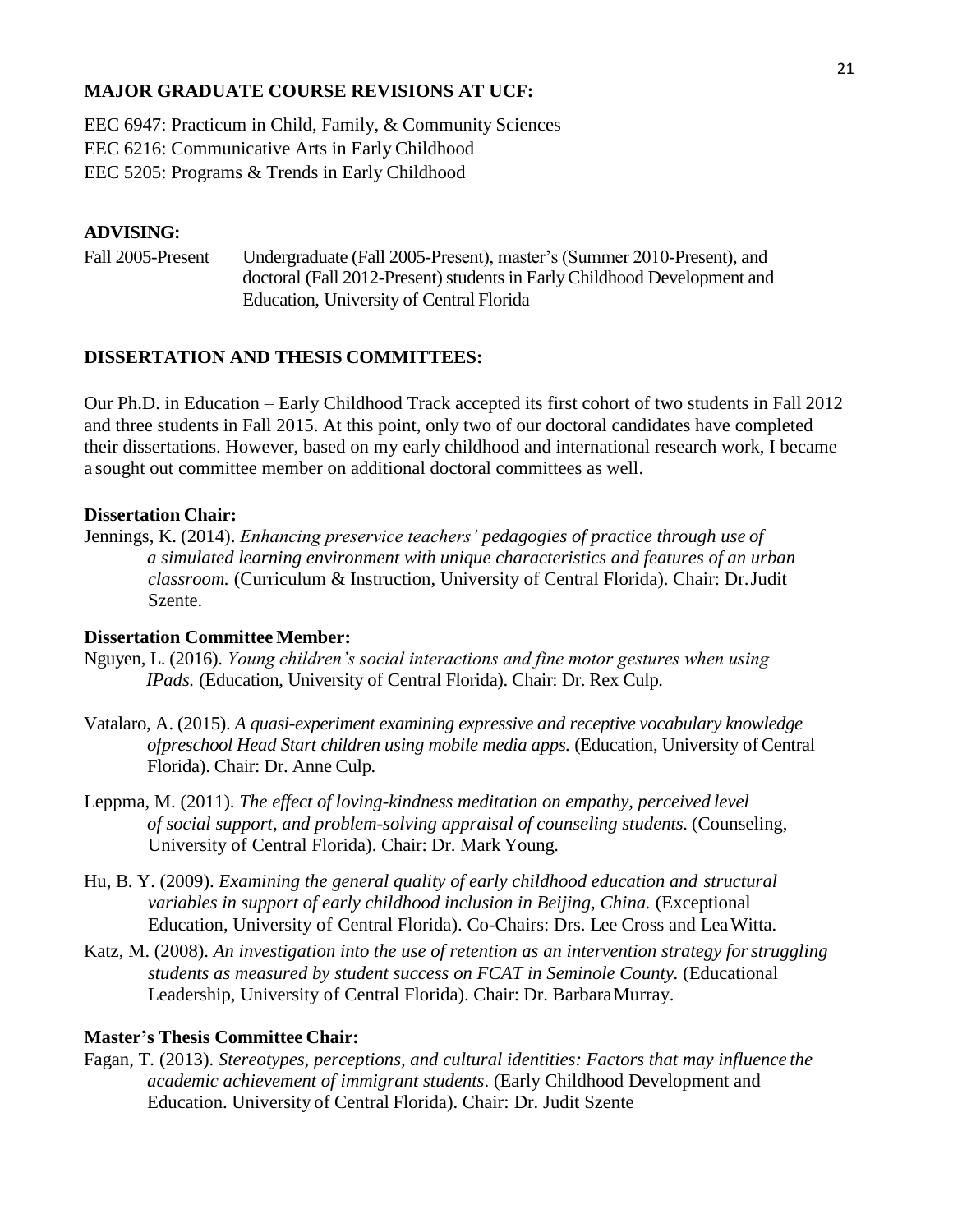## **MAJOR GRADUATE COURSE REVISIONS AT UCF:**

EEC 6947: Practicum in Child, Family, & Community Sciences EEC 6216: Communicative Arts in Early Childhood EEC 5205: Programs & Trends in Early Childhood

## **ADVISING:**

Fall 2005-Present Undergraduate (Fall 2005-Present), master's (Summer 2010-Present), and doctoral (Fall 2012-Present) students in Early Childhood Development and Education, University of Central Florida

### **DISSERTATION AND THESIS COMMITTEES:**

Our Ph.D. in Education – Early Childhood Track accepted its first cohort of two students in Fall 2012 and three students in Fall 2015. At this point, only two of our doctoral candidates have completed their dissertations. However, based on my early childhood and international research work, I became a sought out committee member on additional doctoral committees as well.

#### **Dissertation Chair:**

Jennings, K. (2014). *Enhancing preservice teachers' pedagogies of practice through use of a simulated learning environment with unique characteristics and features of an urban classroom.* (Curriculum & Instruction, University of Central Florida). Chair: Dr.Judit Szente.

#### **Dissertation Committee Member:**

- Nguyen, L. (2016). *Young children's social interactions and fine motor gestures when using IPads.* (Education, University of Central Florida). Chair: Dr. Rex Culp.
- Vatalaro, A. (2015). *A quasi-experiment examining expressive and receptive vocabulary knowledge ofpreschool Head Start children using mobile media apps.* (Education, University ofCentral Florida). Chair: Dr. Anne Culp.
- Leppma, M. (2011). *The effect of loving-kindness meditation on empathy, perceived level of social support, and problem-solving appraisal of counseling students.* (Counseling, University of Central Florida). Chair: Dr. Mark Young.
- Hu, B. Y. (2009). *Examining the general quality of early childhood education and structural variables in support of early childhood inclusion in Beijing, China.* (Exceptional Education, University of Central Florida). Co-Chairs: Drs. Lee Cross and LeaWitta.
- Katz, M. (2008). *An investigation into the use of retention as an intervention strategy forstruggling students as measured by student success on FCAT in Seminole County.* (Educational Leadership, University of Central Florida). Chair: Dr. BarbaraMurray.

#### **Master's Thesis Committee Chair:**

Fagan, T. (2013). *Stereotypes, perceptions, and cultural identities: Factors that may influence the academic achievement of immigrant students*. (Early Childhood Development and Education. University of Central Florida). Chair: Dr. Judit Szente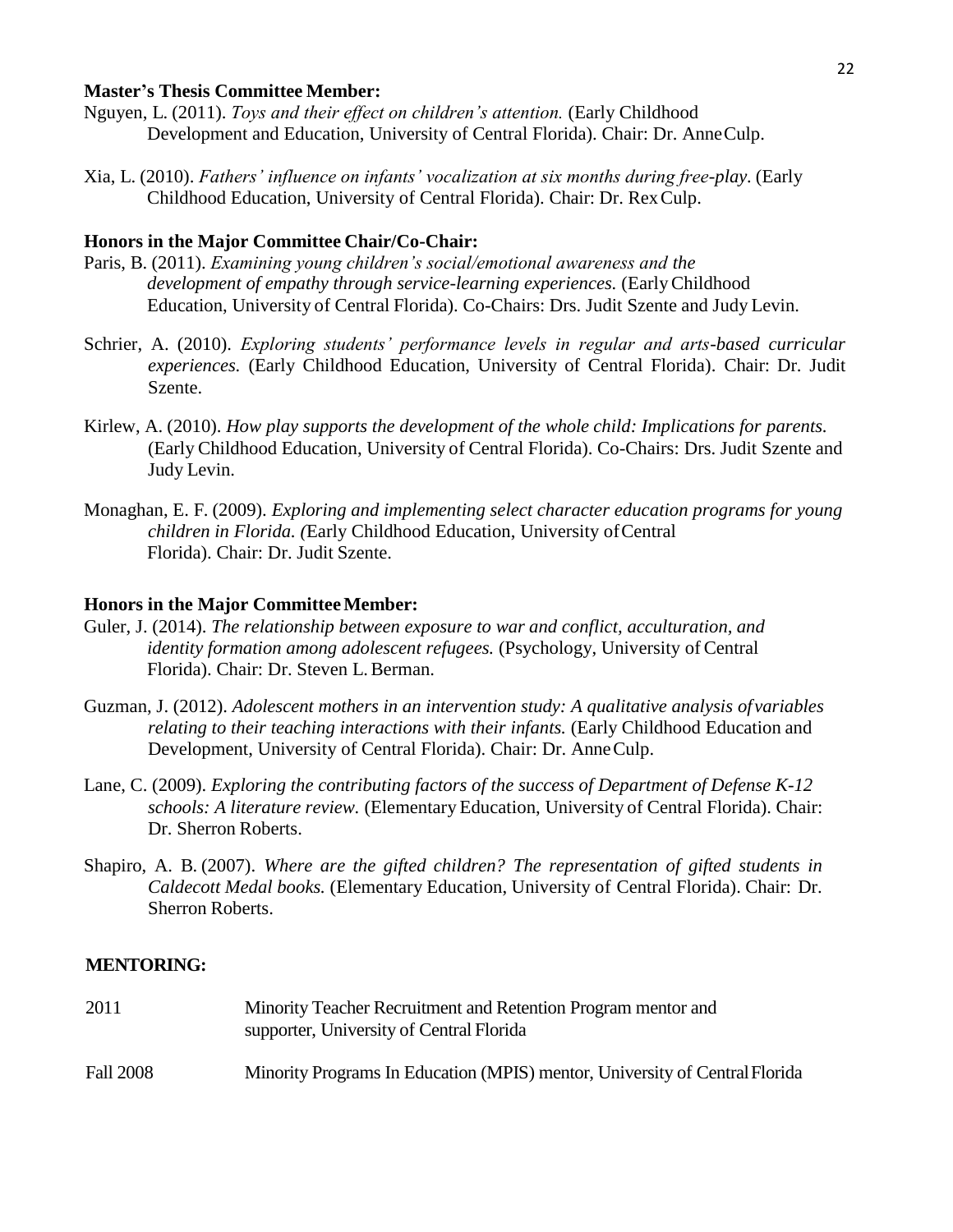#### **Master's Thesis Committee Member:**

- Nguyen, L. (2011). *Toys and their effect on children's attention.* (Early Childhood Development and Education, University of Central Florida). Chair: Dr. AnneCulp.
- Xia, L. (2010). *Fathers' influence on infants' vocalization at six months during free-play.* (Early Childhood Education, University of Central Florida). Chair: Dr. RexCulp.

### **Honors in the Major Committee Chair/Co-Chair:**

- Paris, B. (2011). *Examining young children's social/emotional awareness and the development of empathy through service-learning experiences.* (EarlyChildhood Education, University of Central Florida). Co-Chairs: Drs. Judit Szente and Judy Levin.
- Schrier, A. (2010). *Exploring students' performance levels in regular and arts-based curricular experiences.* (Early Childhood Education, University of Central Florida). Chair: Dr. Judit Szente.
- Kirlew, A. (2010). *How play supports the development of the whole child: Implications for parents.*  (Early Childhood Education, University of Central Florida). Co-Chairs: Drs. Judit Szente and Judy Levin.
- Monaghan, E. F. (2009). *Exploring and implementing select character education programs for young children in Florida. (*Early Childhood Education, University ofCentral Florida). Chair: Dr. Judit Szente.

#### **Honors in the Major CommitteeMember:**

- Guler, J. (2014). *The relationship between exposure to war and conflict, acculturation, and identity formation among adolescent refugees.* (Psychology, University of Central Florida). Chair: Dr. Steven L.Berman.
- Guzman, J. (2012). *Adolescent mothers in an intervention study: A qualitative analysis of variables relating to their teaching interactions with their infants.* (Early Childhood Education and Development, University of Central Florida). Chair: Dr. AnneCulp.
- Lane, C. (2009). *Exploring the contributing factors of the success of Department of Defense K-12 schools: A literature review.* (Elementary Education, University of Central Florida). Chair: Dr. Sherron Roberts.
- Shapiro, A. B. (2007). *Where are the gifted children? The representation of gifted students in Caldecott Medal books.* (Elementary Education, University of Central Florida). Chair: Dr. Sherron Roberts.

#### **MENTORING:**

| 2011             | Minority Teacher Recruitment and Retention Program mentor and<br>supporter, University of Central Florida |
|------------------|-----------------------------------------------------------------------------------------------------------|
| <b>Fall 2008</b> | Minority Programs In Education (MPIS) mentor, University of Central Florida                               |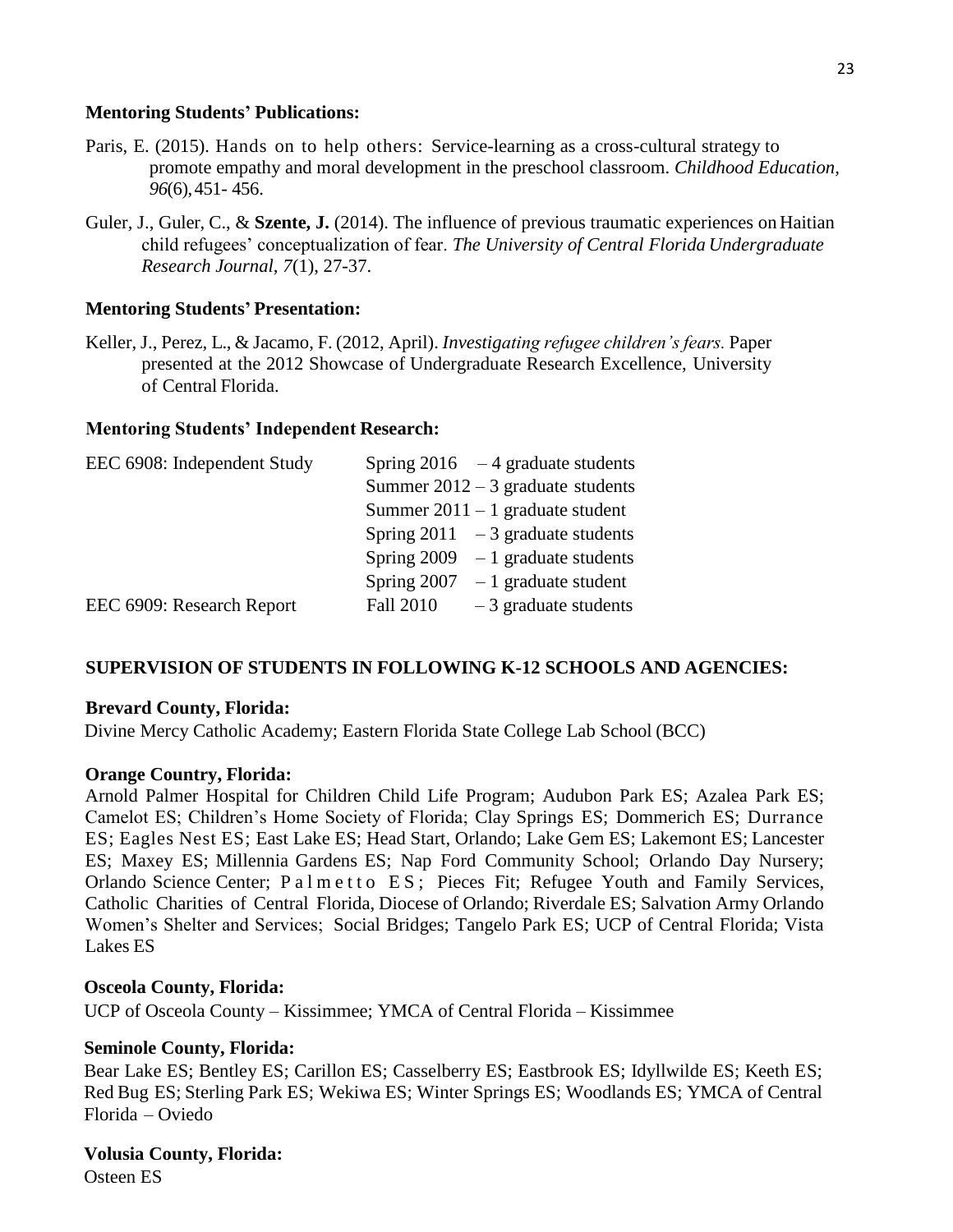### **Mentoring Students' Publications:**

- Paris, E. (2015). Hands on to help others: Service-learning as a cross-cultural strategy to promote empathy and moral development in the preschool classroom. *Childhood Education, 96*(6),451- 456.
- Guler, J., Guler, C., & **Szente, J.** (2014). The influence of previous traumatic experiences on Haitian child refugees' conceptualization of fear. *The University of Central Florida Undergraduate Research Journal, 7*(1), 27-37.

## **Mentoring Students' Presentation:**

Keller, J., Perez, L., & Jacamo, F. (2012, April). *Investigating refugee children's fears.* Paper presented at the 2012 Showcase of Undergraduate Research Excellence, University of Central Florida.

## **Mentoring Students' Independent Research:**

| EEC 6908: Independent Study | Spring $2016 - 4$ graduate students        |
|-----------------------------|--------------------------------------------|
|                             | Summer $2012 - 3$ graduate students        |
|                             | Summer $2011 - 1$ graduate student         |
|                             | Spring $2011 - 3$ graduate students        |
|                             | Spring $2009 - 1$ graduate students        |
|                             | Spring $2007 - 1$ graduate student         |
| EEC 6909: Research Report   | <b>Fall 2010</b><br>$-3$ graduate students |

## **SUPERVISION OF STUDENTS IN FOLLOWING K-12 SCHOOLS AND AGENCIES:**

## **Brevard County, Florida:**

Divine Mercy Catholic Academy; Eastern Florida State College Lab School (BCC)

## **Orange Country, Florida:**

Arnold Palmer Hospital for Children Child Life Program; Audubon Park ES; Azalea Park ES; Camelot ES; Children's Home Society of Florida; Clay Springs ES; Dommerich ES; Durrance ES; Eagles Nest ES; East Lake ES; Head Start, Orlando; Lake Gem ES; Lakemont ES; Lancester ES; Maxey ES; Millennia Gardens ES; Nap Ford Community School; Orlando Day Nursery; Orlando Science Center; P a l m e t t o E S; Pieces Fit; Refugee Youth and Family Services, Catholic Charities of Central Florida, Diocese of Orlando; Riverdale ES; Salvation Army Orlando Women's Shelter and Services; Social Bridges; Tangelo Park ES; UCP of Central Florida; Vista Lakes ES

## **Osceola County, Florida:**

UCP of Osceola County – Kissimmee; YMCA of Central Florida – Kissimmee

## **Seminole County, Florida:**

Bear Lake ES; Bentley ES; Carillon ES; Casselberry ES; Eastbrook ES; Idyllwilde ES; Keeth ES; Red Bug ES; Sterling Park ES; Wekiwa ES; Winter Springs ES; Woodlands ES; YMCA of Central Florida – Oviedo

# **Volusia County, Florida:**

Osteen ES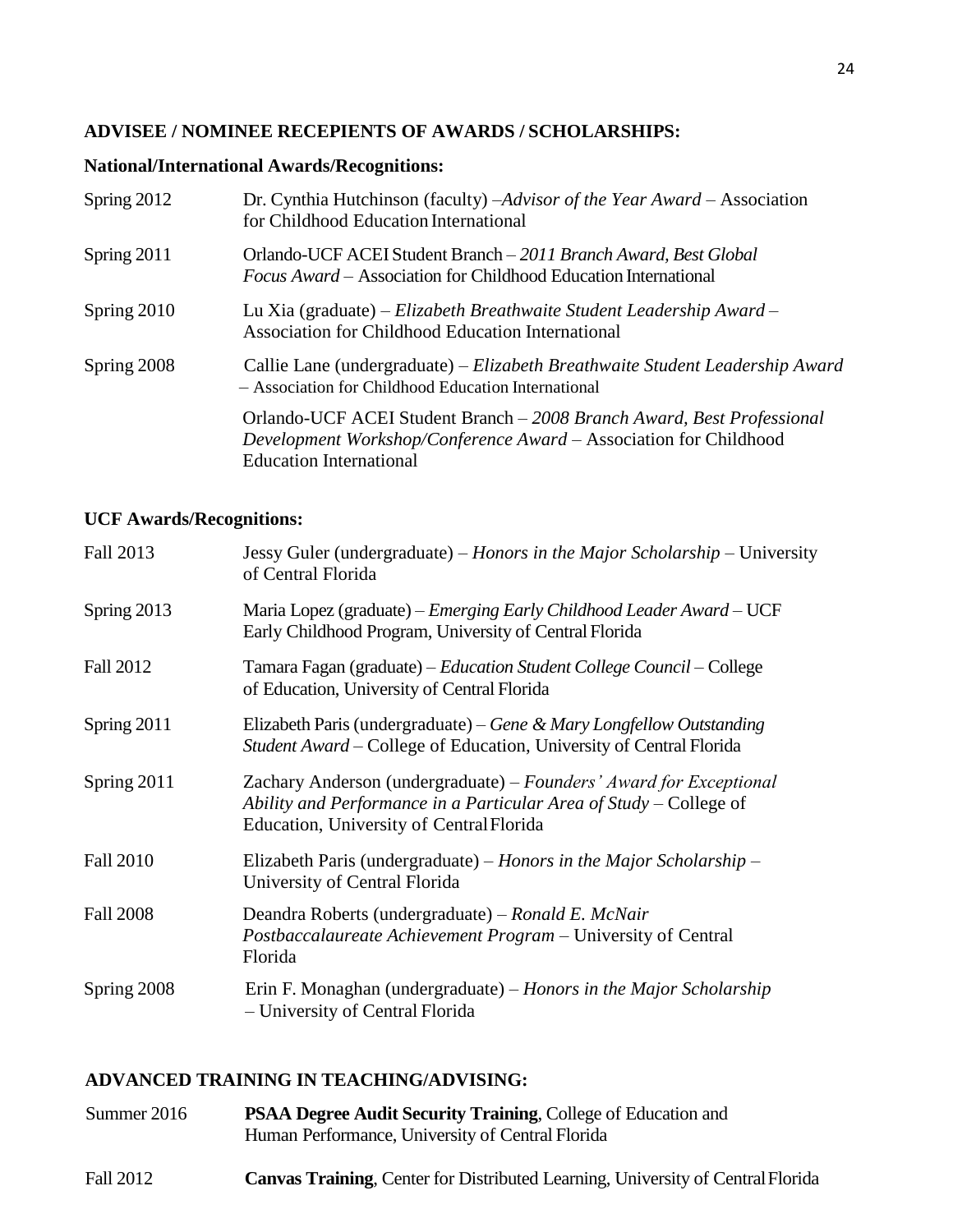# **ADVISEE / NOMINEE RECEPIENTS OF AWARDS / SCHOLARSHIPS:**

## **National/International Awards/Recognitions:**

| Spring 2012 | Dr. Cynthia Hutchinson (faculty) -Advisor of the Year Award - Association<br>for Childhood Education International                                                            |
|-------------|-------------------------------------------------------------------------------------------------------------------------------------------------------------------------------|
| Spring 2011 | Orlando-UCF ACEI Student Branch - 2011 Branch Award, Best Global<br><i>Focus Award</i> – Association for Childhood Education International                                    |
| Spring 2010 | Lu Xia (graduate) – Elizabeth Breathwaite Student Leadership Award –<br>Association for Childhood Education International                                                     |
| Spring 2008 | Callie Lane (undergraduate) – Elizabeth Breathwaite Student Leadership Award<br>- Association for Childhood Education International                                           |
|             | Orlando-UCF ACEI Student Branch - 2008 Branch Award, Best Professional<br>Development Workshop/Conference Award – Association for Childhood<br><b>Education International</b> |

## **UCF Awards/Recognitions:**

| <b>Fall 2013</b> | Jessy Guler (undergraduate) – Honors in the Major Scholarship – University<br>of Central Florida                                                                                     |
|------------------|--------------------------------------------------------------------------------------------------------------------------------------------------------------------------------------|
| Spring 2013      | Maria Lopez (graduate) – Emerging Early Childhood Leader Award – UCF<br>Early Childhood Program, University of Central Florida                                                       |
| Fall 2012        | Tamara Fagan (graduate) – Education Student College Council – College<br>of Education, University of Central Florida                                                                 |
| Spring 2011      | Elizabeth Paris (undergraduate) – Gene & Mary Longfellow Outstanding<br>Student Award – College of Education, University of Central Florida                                          |
| Spring 2011      | Zachary Anderson (undergraduate) – Founders' Award for Exceptional<br>Ability and Performance in a Particular Area of Study – College of<br>Education, University of Central Florida |
| <b>Fall 2010</b> | Elizabeth Paris (undergraduate) – Honors in the Major Scholarship –<br>University of Central Florida                                                                                 |
| <b>Fall 2008</b> | Deandra Roberts (undergraduate) – Ronald E. McNair<br>Postbaccalaureate Achievement Program – University of Central<br>Florida                                                       |
| Spring 2008      | Erin F. Monaghan (undergraduate) – Honors in the Major Scholarship<br>- University of Central Florida                                                                                |
|                  |                                                                                                                                                                                      |

## **ADVANCED TRAINING IN TEACHING/ADVISING:**

| Summer 2016 | <b>PSAA Degree Audit Security Training, College of Education and</b><br>Human Performance, University of Central Florida |
|-------------|--------------------------------------------------------------------------------------------------------------------------|
| Fall 2012   | <b>Canvas Training, Center for Distributed Learning, University of Central Florida</b>                                   |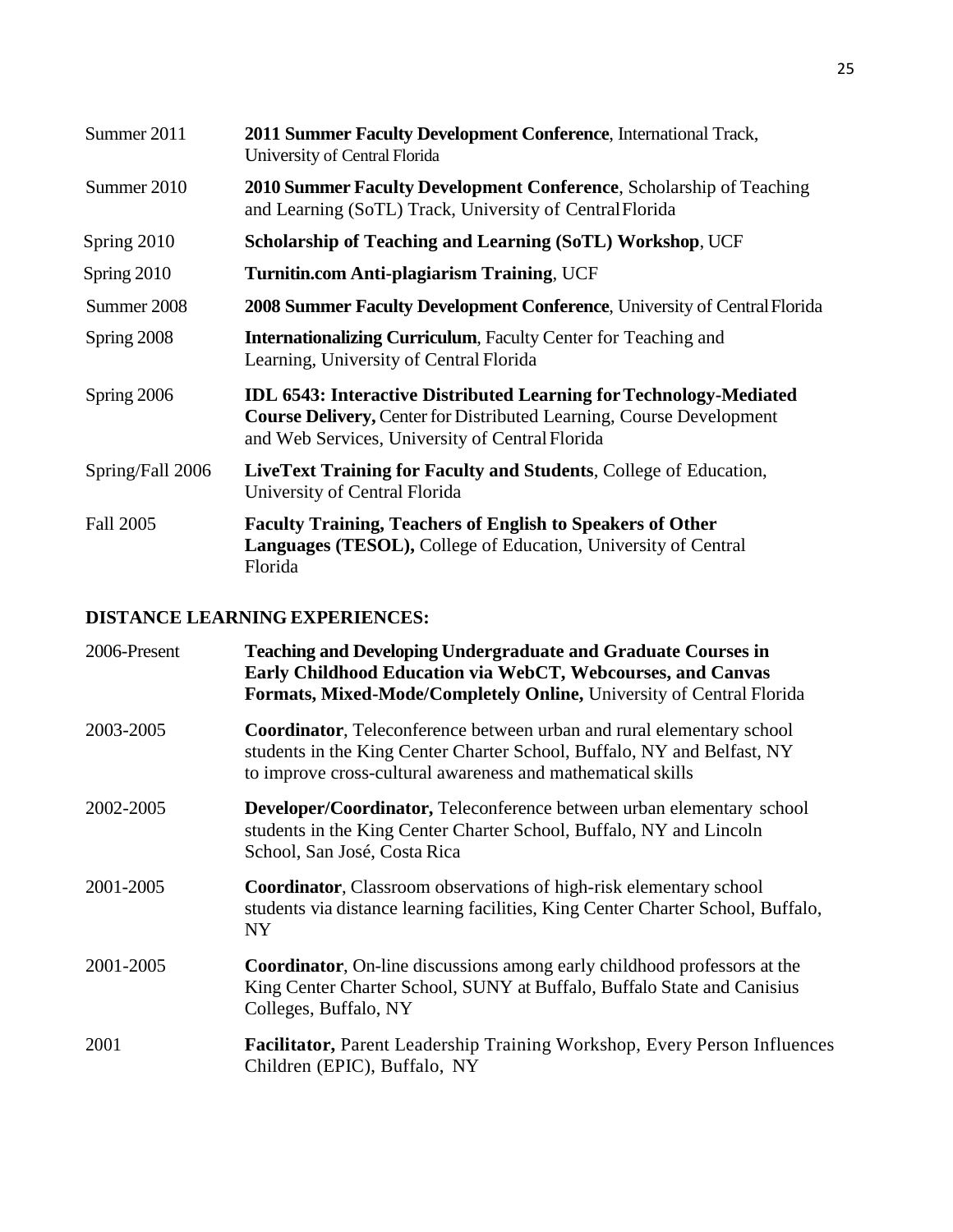| Summer 2011      | <b>2011 Summer Faculty Development Conference, International Track,</b><br>University of Central Florida                                                                                                    |
|------------------|-------------------------------------------------------------------------------------------------------------------------------------------------------------------------------------------------------------|
| Summer 2010      | 2010 Summer Faculty Development Conference, Scholarship of Teaching<br>and Learning (SoTL) Track, University of Central Florida                                                                             |
| Spring 2010      | <b>Scholarship of Teaching and Learning (SoTL) Workshop, UCF</b>                                                                                                                                            |
| Spring 2010      | <b>Turnitin.com Anti-plagiarism Training, UCF</b>                                                                                                                                                           |
| Summer 2008      | 2008 Summer Faculty Development Conference, University of Central Florida                                                                                                                                   |
| Spring 2008      | <b>Internationalizing Curriculum, Faculty Center for Teaching and</b><br>Learning, University of Central Florida                                                                                            |
| Spring 2006      | <b>IDL 6543: Interactive Distributed Learning for Technology-Mediated</b><br><b>Course Delivery, Center for Distributed Learning, Course Development</b><br>and Web Services, University of Central Florida |
| Spring/Fall 2006 | LiveText Training for Faculty and Students, College of Education,<br>University of Central Florida                                                                                                          |
| Fall 2005        | <b>Faculty Training, Teachers of English to Speakers of Other</b><br><b>Languages (TESOL), College of Education, University of Central</b><br>Florida                                                       |

# **DISTANCE LEARNING EXPERIENCES:**

| 2006-Present | <b>Teaching and Developing Undergraduate and Graduate Courses in</b><br>Early Childhood Education via WebCT, Webcourses, and Canvas<br><b>Formats, Mixed-Mode/Completely Online, University of Central Florida</b>      |
|--------------|-------------------------------------------------------------------------------------------------------------------------------------------------------------------------------------------------------------------------|
| 2003-2005    | <b>Coordinator</b> , Teleconference between urban and rural elementary school<br>students in the King Center Charter School, Buffalo, NY and Belfast, NY<br>to improve cross-cultural awareness and mathematical skills |
| 2002-2005    | <b>Developer/Coordinator, Teleconference between urban elementary school</b><br>students in the King Center Charter School, Buffalo, NY and Lincoln<br>School, San José, Costa Rica                                     |
| 2001-2005    | Coordinator, Classroom observations of high-risk elementary school<br>students via distance learning facilities, King Center Charter School, Buffalo,<br>NY <sub></sub>                                                 |
| 2001-2005    | <b>Coordinator</b> , On-line discussions among early childhood professors at the<br>King Center Charter School, SUNY at Buffalo, Buffalo State and Canisius<br>Colleges, Buffalo, NY                                    |
| 2001         | Facilitator, Parent Leadership Training Workshop, Every Person Influences<br>Children (EPIC), Buffalo, NY                                                                                                               |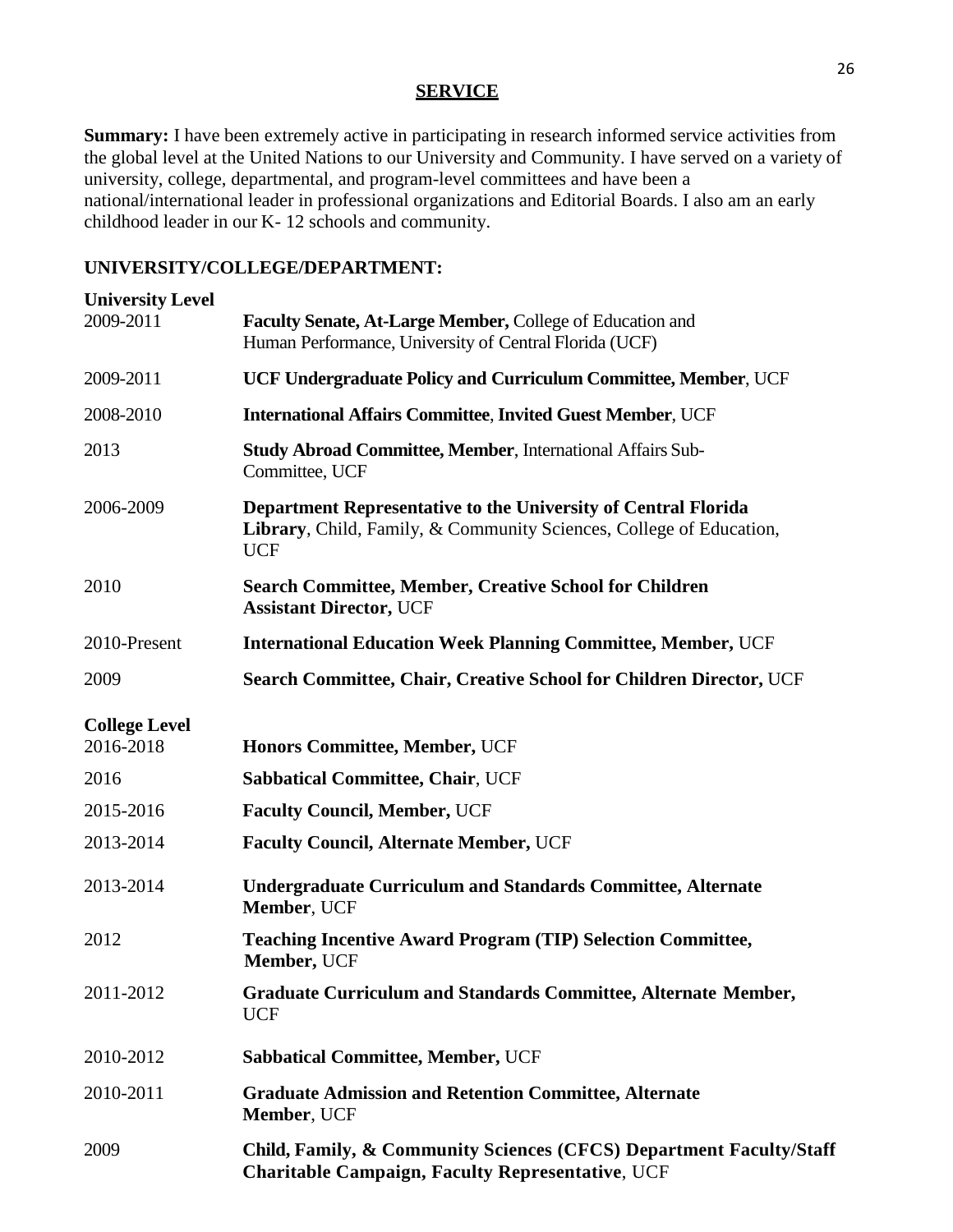## **SERVICE**

**Summary:** I have been extremely active in participating in research informed service activities from the global level at the United Nations to our University and Community. I have served on a variety of university, college, departmental, and program-level committees and have been a national/international leader in professional organizations and Editorial Boards. I also am an early childhood leader in our K- 12 schools and community.

## **UNIVERSITY/COLLEGE/DEPARTMENT:**

| <b>University Level</b><br>2009-2011 | Faculty Senate, At-Large Member, College of Education and                                                                                           |
|--------------------------------------|-----------------------------------------------------------------------------------------------------------------------------------------------------|
|                                      | Human Performance, University of Central Florida (UCF)                                                                                              |
| 2009-2011                            | UCF Undergraduate Policy and Curriculum Committee, Member, UCF                                                                                      |
| 2008-2010                            | <b>International Affairs Committee, Invited Guest Member, UCF</b>                                                                                   |
| 2013                                 | <b>Study Abroad Committee, Member, International Affairs Sub-</b><br>Committee, UCF                                                                 |
| 2006-2009                            | Department Representative to the University of Central Florida<br>Library, Child, Family, & Community Sciences, College of Education,<br><b>UCF</b> |
| 2010                                 | <b>Search Committee, Member, Creative School for Children</b><br><b>Assistant Director, UCF</b>                                                     |
| 2010-Present                         | <b>International Education Week Planning Committee, Member, UCF</b>                                                                                 |
| 2009                                 | Search Committee, Chair, Creative School for Children Director, UCF                                                                                 |
| <b>College Level</b>                 |                                                                                                                                                     |
| 2016-2018                            | Honors Committee, Member, UCF                                                                                                                       |
| 2016                                 | <b>Sabbatical Committee, Chair, UCF</b>                                                                                                             |
| 2015-2016                            | <b>Faculty Council, Member, UCF</b>                                                                                                                 |
| 2013-2014                            | <b>Faculty Council, Alternate Member, UCF</b>                                                                                                       |
| 2013-2014                            | <b>Undergraduate Curriculum and Standards Committee, Alternate</b><br>Member, UCF                                                                   |
| 2012                                 | <b>Teaching Incentive Award Program (TIP) Selection Committee,</b><br>Member, UCF                                                                   |
| 2011-2012                            | Graduate Curriculum and Standards Committee, Alternate Member,<br><b>UCF</b>                                                                        |
| 2010-2012                            | <b>Sabbatical Committee, Member, UCF</b>                                                                                                            |
| 2010-2011                            | <b>Graduate Admission and Retention Committee, Alternate</b><br>Member, UCF                                                                         |
| 2009                                 | Child, Family, & Community Sciences (CFCS) Department Faculty/Staff<br><b>Charitable Campaign, Faculty Representative, UCF</b>                      |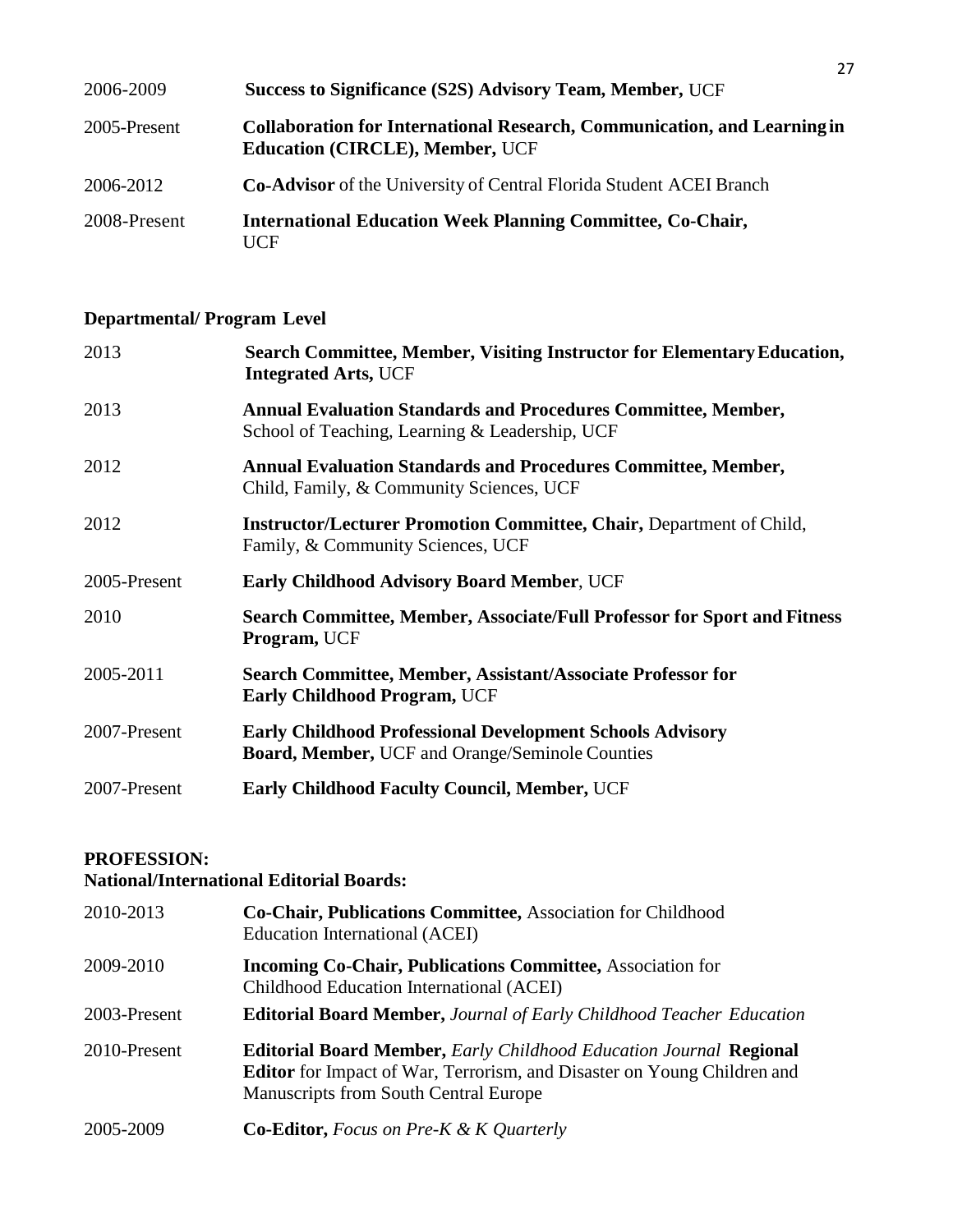| 2006-2009    | Success to Significance (S2S) Advisory Team, Member, UCF                                                                  |
|--------------|---------------------------------------------------------------------------------------------------------------------------|
| 2005-Present | <b>Collaboration for International Research, Communication, and Learning in</b><br><b>Education (CIRCLE), Member, UCF</b> |
| 2006-2012    | <b>Co-Advisor</b> of the University of Central Florida Student ACEI Branch                                                |
| 2008-Present | <b>International Education Week Planning Committee, Co-Chair,</b><br>HCF                                                  |

# **Departmental/ Program Level**

| 2013         | Search Committee, Member, Visiting Instructor for Elementary Education,<br><b>Integrated Arts, UCF</b>                     |
|--------------|----------------------------------------------------------------------------------------------------------------------------|
| 2013         | <b>Annual Evaluation Standards and Procedures Committee, Member,</b><br>School of Teaching, Learning & Leadership, UCF     |
| 2012         | <b>Annual Evaluation Standards and Procedures Committee, Member,</b><br>Child, Family, & Community Sciences, UCF           |
| 2012         | <b>Instructor/Lecturer Promotion Committee, Chair, Department of Child,</b><br>Family, & Community Sciences, UCF           |
| 2005-Present | <b>Early Childhood Advisory Board Member, UCF</b>                                                                          |
| 2010         | Search Committee, Member, Associate/Full Professor for Sport and Fitness<br><b>Program, UCF</b>                            |
| 2005-2011    | Search Committee, Member, Assistant/Associate Professor for<br><b>Early Childhood Program, UCF</b>                         |
| 2007-Present | <b>Early Childhood Professional Development Schools Advisory</b><br><b>Board, Member, UCF and Orange/Seminole Counties</b> |
| 2007-Present | <b>Early Childhood Faculty Council, Member, UCF</b>                                                                        |

# **PROFESSION:**

# **National/International Editorial Boards:**

| 2010-2013    | Co-Chair, Publications Committee, Association for Childhood<br>Education International (ACEI)                                                                                                 |
|--------------|-----------------------------------------------------------------------------------------------------------------------------------------------------------------------------------------------|
| 2009-2010    | <b>Incoming Co-Chair, Publications Committee, Association for</b><br>Childhood Education International (ACEI)                                                                                 |
| 2003-Present | <b>Editorial Board Member, Journal of Early Childhood Teacher Education</b>                                                                                                                   |
| 2010-Present | <b>Editorial Board Member, Early Childhood Education Journal Regional</b><br>Editor for Impact of War, Terrorism, and Disaster on Young Children and<br>Manuscripts from South Central Europe |
| 2005-2009    | <b>Co-Editor, Focus on Pre-K &amp; K Quarterly</b>                                                                                                                                            |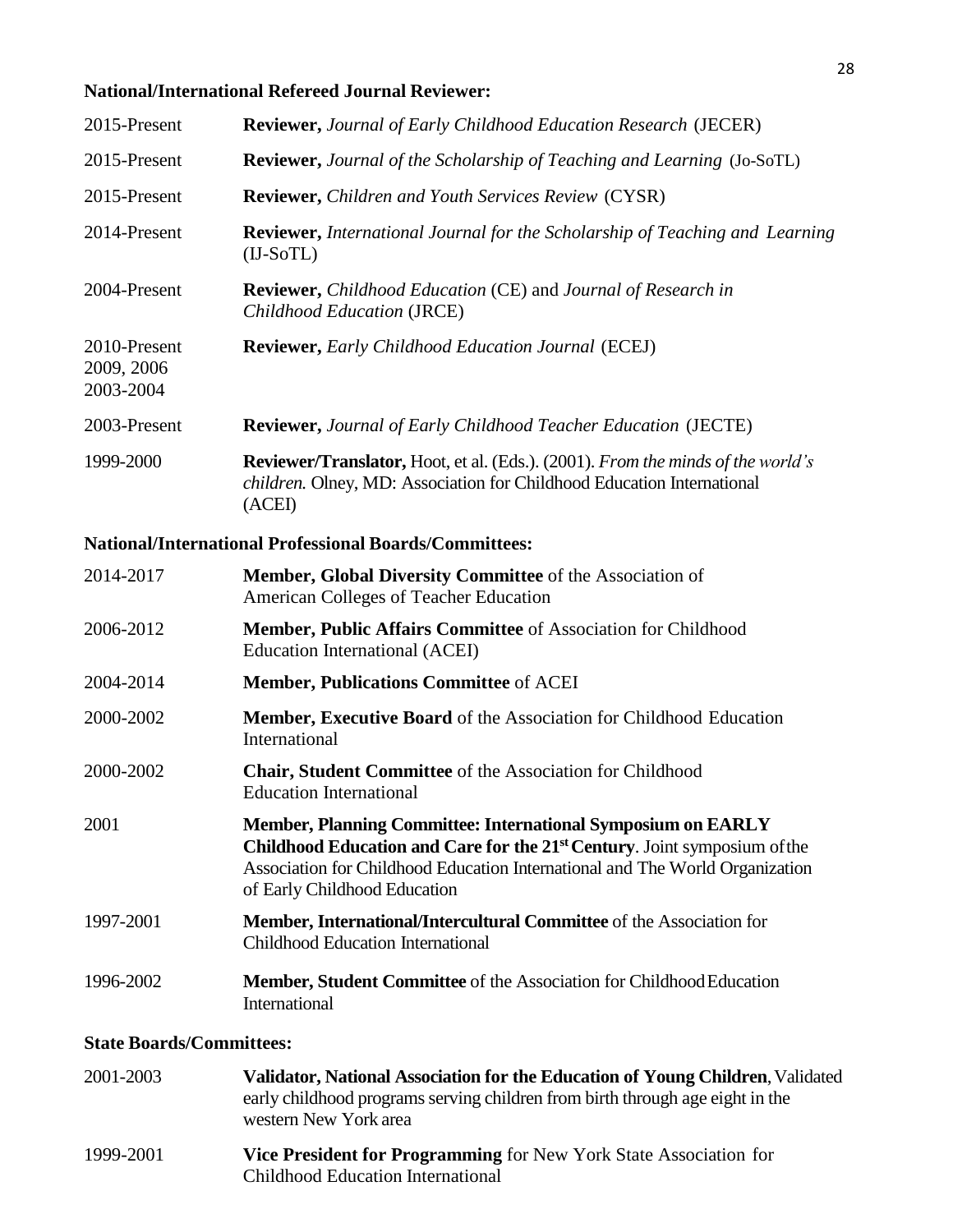# **National/International Refereed Journal Reviewer:**

| 2015-Present                            | <b>Reviewer, Journal of Early Childhood Education Research (JECER)</b>                                                                                                            |
|-----------------------------------------|-----------------------------------------------------------------------------------------------------------------------------------------------------------------------------------|
| 2015-Present                            | <b>Reviewer, Journal of the Scholarship of Teaching and Learning (Jo-SoTL)</b>                                                                                                    |
| 2015-Present                            | <b>Reviewer, Children and Youth Services Review (CYSR)</b>                                                                                                                        |
| 2014-Present                            | <b>Reviewer, International Journal for the Scholarship of Teaching and Learning</b><br>$(II-SoTL)$                                                                                |
| 2004-Present                            | <b>Reviewer,</b> Childhood Education (CE) and Journal of Research in<br>Childhood Education (JRCE)                                                                                |
| 2010-Present<br>2009, 2006<br>2003-2004 | <b>Reviewer, Early Childhood Education Journal (ECEJ)</b>                                                                                                                         |
| 2003-Present                            | <b>Reviewer, Journal of Early Childhood Teacher Education (JECTE)</b>                                                                                                             |
| 1999-2000                               | <b>Reviewer/Translator, Hoot, et al. (Eds.). (2001). From the minds of the world's</b><br><i>children.</i> Olney, MD: Association for Childhood Education International<br>(ACEI) |

# **National/International Professional Boards/Committees:**

| 2014-2017 | <b>Member, Global Diversity Committee</b> of the Association of<br>American Colleges of Teacher Education                                                                                                                                                                    |
|-----------|------------------------------------------------------------------------------------------------------------------------------------------------------------------------------------------------------------------------------------------------------------------------------|
| 2006-2012 | <b>Member, Public Affairs Committee of Association for Childhood</b><br>Education International (ACEI)                                                                                                                                                                       |
| 2004-2014 | <b>Member, Publications Committee of ACEI</b>                                                                                                                                                                                                                                |
| 2000-2002 | Member, Executive Board of the Association for Childhood Education<br>International                                                                                                                                                                                          |
| 2000-2002 | <b>Chair, Student Committee</b> of the Association for Childhood<br><b>Education International</b>                                                                                                                                                                           |
| 2001      | <b>Member, Planning Committee: International Symposium on EARLY</b><br>Childhood Education and Care for the 21 <sup>st</sup> Century. Joint symposium of the<br>Association for Childhood Education International and The World Organization<br>of Early Childhood Education |
| 1997-2001 | Member, International/Intercultural Committee of the Association for<br>Childhood Education International                                                                                                                                                                    |
| 1996-2002 | Member, Student Committee of the Association for Childhood Education<br>International                                                                                                                                                                                        |
|           |                                                                                                                                                                                                                                                                              |

# **State Boards/Committees:**

| 2001-2003 | Validator, National Association for the Education of Young Children, Validated<br>early childhood programs serving children from birth through age eight in the<br>western New York area |
|-----------|------------------------------------------------------------------------------------------------------------------------------------------------------------------------------------------|
| 1999-2001 | Vice President for Programming for New York State Association for<br><b>Childhood Education International</b>                                                                            |